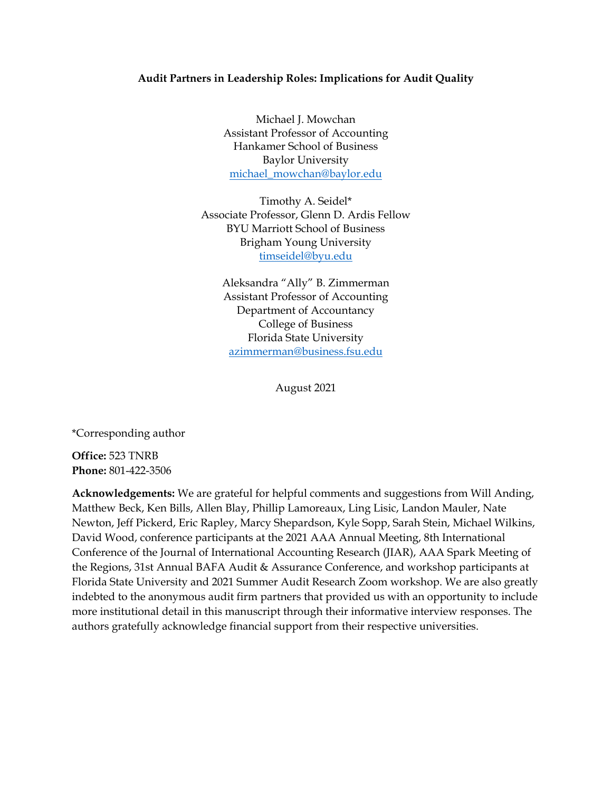### **Audit Partners in Leadership Roles: Implications for Audit Quality**

Michael J. Mowchan Assistant Professor of Accounting Hankamer School of Business Baylor University michael\_mowchan@baylor.edu

Timothy A. Seidel\* Associate Professor, Glenn D. Ardis Fellow BYU Marriott School of Business Brigham Young University timseidel@byu.edu

Aleksandra "Ally" B. Zimmerman Assistant Professor of Accounting Department of Accountancy College of Business Florida State University azimmerman@business.fsu.edu

August 2021

\*Corresponding author

**Office:** 523 TNRB **Phone:** 801-422-3506

**Acknowledgements:** We are grateful for helpful comments and suggestions from Will Anding, Matthew Beck, Ken Bills, Allen Blay, Phillip Lamoreaux, Ling Lisic, Landon Mauler, Nate Newton, Jeff Pickerd, Eric Rapley, Marcy Shepardson, Kyle Sopp, Sarah Stein, Michael Wilkins, David Wood, conference participants at the 2021 AAA Annual Meeting, 8th International Conference of the Journal of International Accounting Research (JIAR), AAA Spark Meeting of the Regions, 31st Annual BAFA Audit & Assurance Conference, and workshop participants at Florida State University and 2021 Summer Audit Research Zoom workshop. We are also greatly indebted to the anonymous audit firm partners that provided us with an opportunity to include more institutional detail in this manuscript through their informative interview responses. The authors gratefully acknowledge financial support from their respective universities.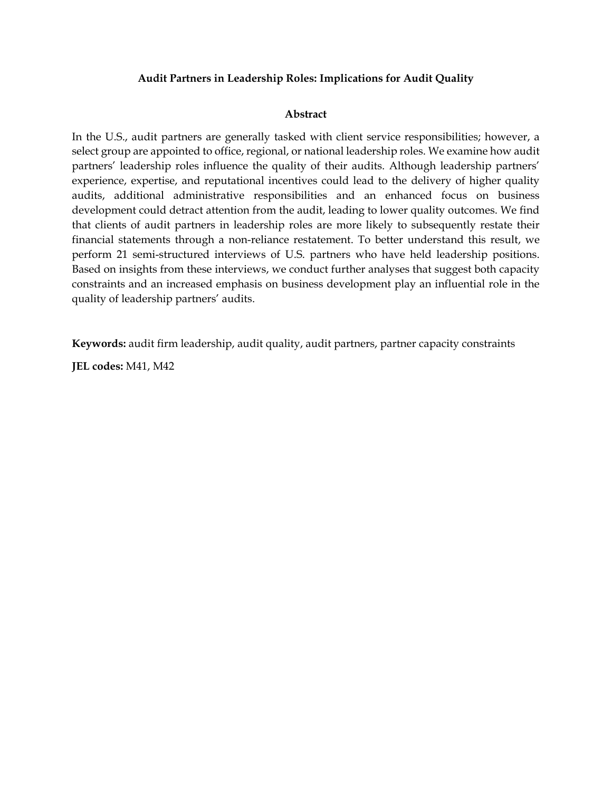## **Audit Partners in Leadership Roles: Implications for Audit Quality**

## **Abstract**

In the U.S., audit partners are generally tasked with client service responsibilities; however, a select group are appointed to office, regional, or national leadership roles. We examine how audit partners' leadership roles influence the quality of their audits. Although leadership partners' experience, expertise, and reputational incentives could lead to the delivery of higher quality audits, additional administrative responsibilities and an enhanced focus on business development could detract attention from the audit, leading to lower quality outcomes. We find that clients of audit partners in leadership roles are more likely to subsequently restate their financial statements through a non-reliance restatement. To better understand this result, we perform 21 semi-structured interviews of U.S. partners who have held leadership positions. Based on insights from these interviews, we conduct further analyses that suggest both capacity constraints and an increased emphasis on business development play an influential role in the quality of leadership partners' audits.

**Keywords:** audit firm leadership, audit quality, audit partners, partner capacity constraints

**JEL codes:** M41, M42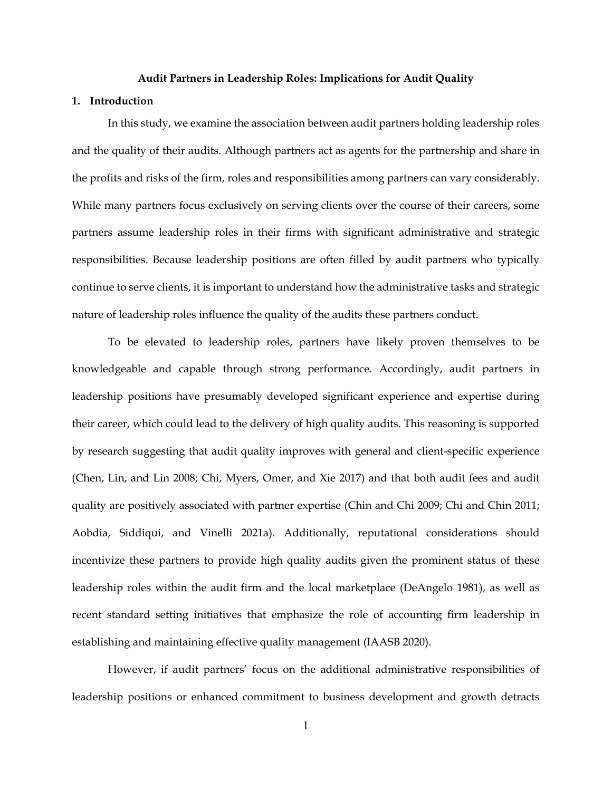#### **Audit Partners in Leadership Roles: Implications for Audit Quality**

### **1. Introduction**

In this study, we examine the association between audit partners holding leadership roles and the quality of their audits. Although partners act as agents for the partnership and share in the profits and risks of the firm, roles and responsibilities among partners can vary considerably. While many partners focus exclusively on serving clients over the course of their careers, some partners assume leadership roles in their firms with significant administrative and strategic responsibilities. Because leadership positions are often filled by audit partners who typically continue to serve clients, it is important to understand how the administrative tasks and strategic nature of leadership roles influence the quality of the audits these partners conduct.

To be elevated to leadership roles, partners have likely proven themselves to be knowledgeable and capable through strong performance. Accordingly, audit partners in leadership positions have presumably developed significant experience and expertise during their career, which could lead to the delivery of high quality audits. This reasoning is supported by research suggesting that audit quality improves with general and client-specific experience (Chen, Lin, and Lin 2008; Chi, Myers, Omer, and Xie 2017) and that both audit fees and audit quality are positively associated with partner expertise (Chin and Chi 2009; Chi and Chin 2011; Aobdia, Siddiqui, and Vinelli 2021a). Additionally, reputational considerations should incentivize these partners to provide high quality audits given the prominent status of these leadership roles within the audit firm and the local marketplace (DeAngelo 1981), as well as recent standard setting initiatives that emphasize the role of accounting firm leadership in establishing and maintaining effective quality management (IAASB 2020).

However, if audit partners' focus on the additional administrative responsibilities of leadership positions or enhanced commitment to business development and growth detracts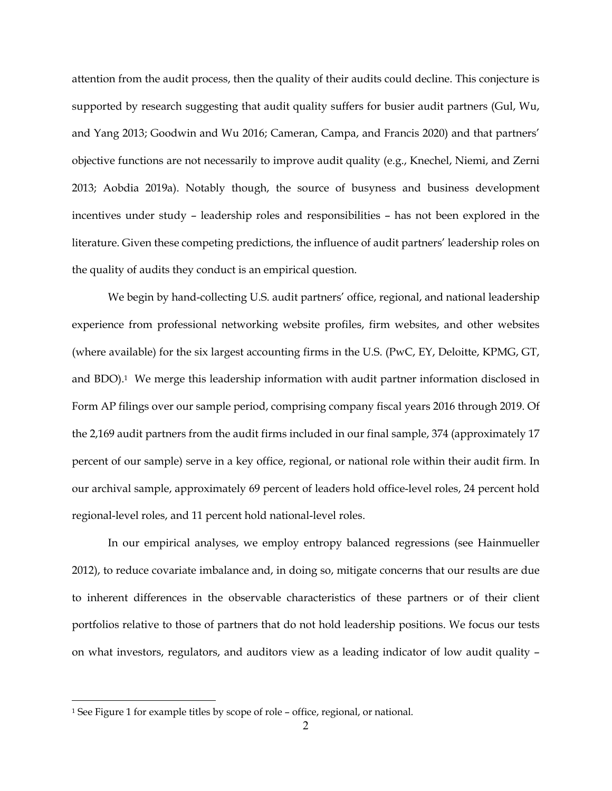attention from the audit process, then the quality of their audits could decline. This conjecture is supported by research suggesting that audit quality suffers for busier audit partners (Gul, Wu, and Yang 2013; Goodwin and Wu 2016; Cameran, Campa, and Francis 2020) and that partners' objective functions are not necessarily to improve audit quality (e.g., Knechel, Niemi, and Zerni 2013; Aobdia 2019a). Notably though, the source of busyness and business development incentives under study – leadership roles and responsibilities – has not been explored in the literature. Given these competing predictions, the influence of audit partners' leadership roles on the quality of audits they conduct is an empirical question.

We begin by hand-collecting U.S. audit partners' office, regional, and national leadership experience from professional networking website profiles, firm websites, and other websites (where available) for the six largest accounting firms in the U.S. (PwC, EY, Deloitte, KPMG, GT, and BDO).<sup>1</sup> We merge this leadership information with audit partner information disclosed in Form AP filings over our sample period, comprising company fiscal years 2016 through 2019. Of the 2,169 audit partners from the audit firms included in our final sample, 374 (approximately 17 percent of our sample) serve in a key office, regional, or national role within their audit firm. In our archival sample, approximately 69 percent of leaders hold office-level roles, 24 percent hold regional-level roles, and 11 percent hold national-level roles.

In our empirical analyses, we employ entropy balanced regressions (see Hainmueller 2012), to reduce covariate imbalance and, in doing so, mitigate concerns that our results are due to inherent differences in the observable characteristics of these partners or of their client portfolios relative to those of partners that do not hold leadership positions. We focus our tests on what investors, regulators, and auditors view as a leading indicator of low audit quality –

<sup>1</sup> See Figure 1 for example titles by scope of role – office, regional, or national.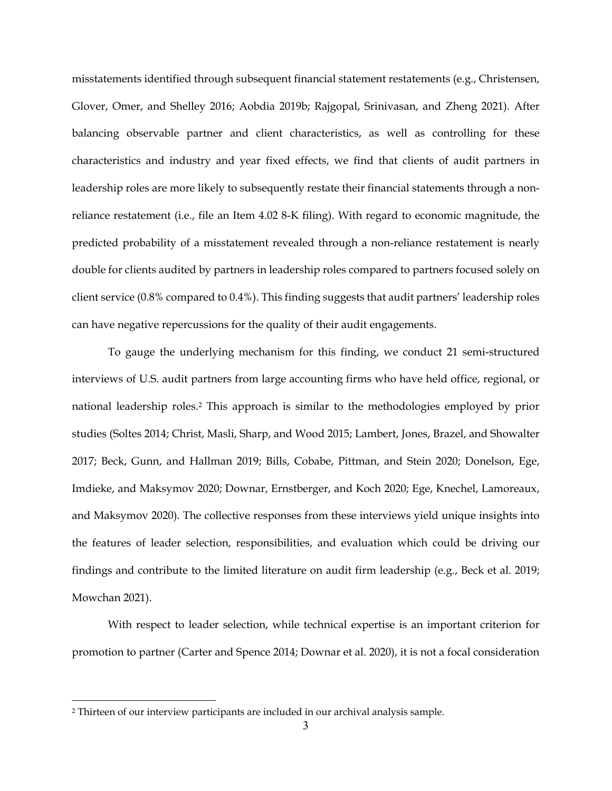misstatements identified through subsequent financial statement restatements (e.g., Christensen, Glover, Omer, and Shelley 2016; Aobdia 2019b; Rajgopal, Srinivasan, and Zheng 2021). After balancing observable partner and client characteristics, as well as controlling for these characteristics and industry and year fixed effects, we find that clients of audit partners in leadership roles are more likely to subsequently restate their financial statements through a nonreliance restatement (i.e., file an Item 4.02 8-K filing). With regard to economic magnitude, the predicted probability of a misstatement revealed through a non-reliance restatement is nearly double for clients audited by partners in leadership roles compared to partners focused solely on client service (0.8% compared to 0.4%). This finding suggests that audit partners' leadership roles can have negative repercussions for the quality of their audit engagements.

To gauge the underlying mechanism for this finding, we conduct 21 semi-structured interviews of U.S. audit partners from large accounting firms who have held office, regional, or national leadership roles.2 This approach is similar to the methodologies employed by prior studies (Soltes 2014; Christ, Masli, Sharp, and Wood 2015; Lambert, Jones, Brazel, and Showalter 2017; Beck, Gunn, and Hallman 2019; Bills, Cobabe, Pittman, and Stein 2020; Donelson, Ege, Imdieke, and Maksymov 2020; Downar, Ernstberger, and Koch 2020; Ege, Knechel, Lamoreaux, and Maksymov 2020). The collective responses from these interviews yield unique insights into the features of leader selection, responsibilities, and evaluation which could be driving our findings and contribute to the limited literature on audit firm leadership (e.g., Beck et al. 2019; Mowchan 2021).

With respect to leader selection, while technical expertise is an important criterion for promotion to partner (Carter and Spence 2014; Downar et al. 2020), it is not a focal consideration

<sup>2</sup> Thirteen of our interview participants are included in our archival analysis sample.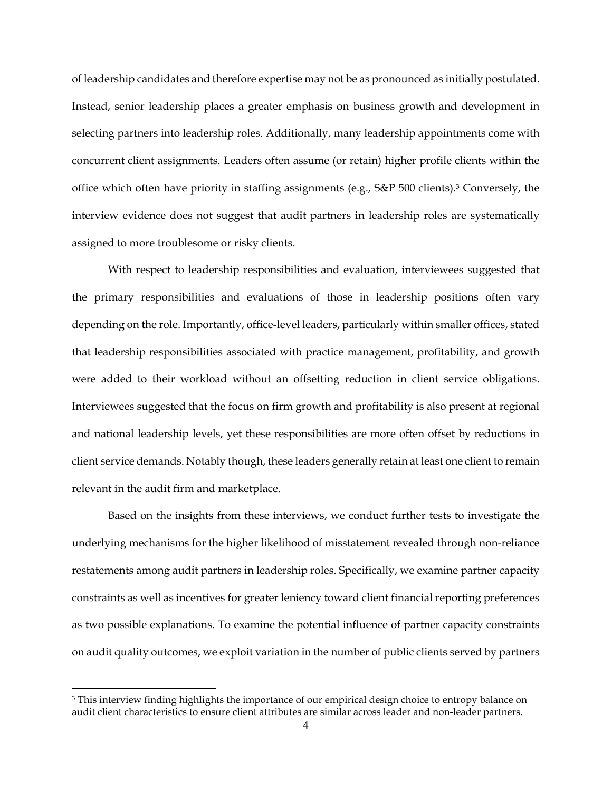of leadership candidates and therefore expertise may not be as pronounced as initially postulated. Instead, senior leadership places a greater emphasis on business growth and development in selecting partners into leadership roles. Additionally, many leadership appointments come with concurrent client assignments. Leaders often assume (or retain) higher profile clients within the office which often have priority in staffing assignments (e.g., S&P 500 clients).3 Conversely, the interview evidence does not suggest that audit partners in leadership roles are systematically assigned to more troublesome or risky clients.

With respect to leadership responsibilities and evaluation, interviewees suggested that the primary responsibilities and evaluations of those in leadership positions often vary depending on the role. Importantly, office-level leaders, particularly within smaller offices, stated that leadership responsibilities associated with practice management, profitability, and growth were added to their workload without an offsetting reduction in client service obligations. Interviewees suggested that the focus on firm growth and profitability is also present at regional and national leadership levels, yet these responsibilities are more often offset by reductions in client service demands. Notably though, these leaders generally retain at least one client to remain relevant in the audit firm and marketplace.

Based on the insights from these interviews, we conduct further tests to investigate the underlying mechanisms for the higher likelihood of misstatement revealed through non-reliance restatements among audit partners in leadership roles. Specifically, we examine partner capacity constraints as well as incentives for greater leniency toward client financial reporting preferences as two possible explanations. To examine the potential influence of partner capacity constraints on audit quality outcomes, we exploit variation in the number of public clients served by partners

<sup>&</sup>lt;sup>3</sup> This interview finding highlights the importance of our empirical design choice to entropy balance on audit client characteristics to ensure client attributes are similar across leader and non-leader partners.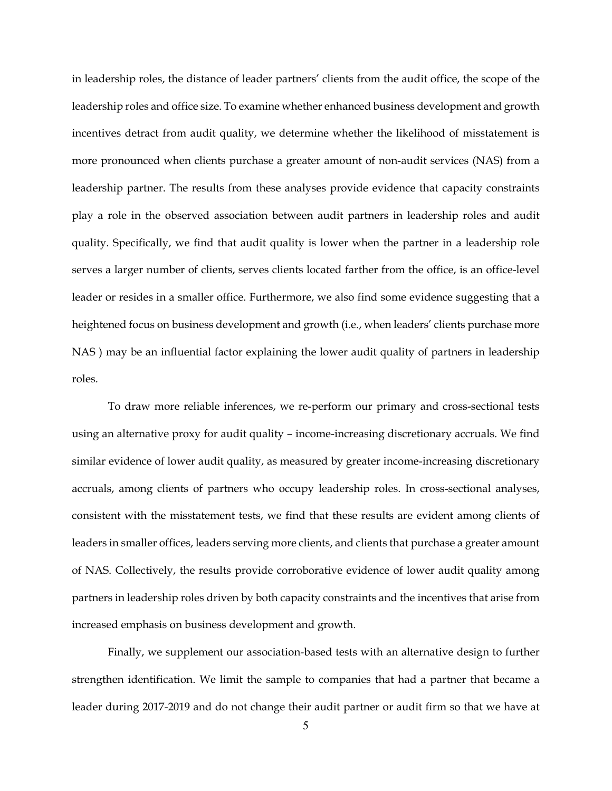in leadership roles, the distance of leader partners' clients from the audit office, the scope of the leadership roles and office size. To examine whether enhanced business development and growth incentives detract from audit quality, we determine whether the likelihood of misstatement is more pronounced when clients purchase a greater amount of non-audit services (NAS) from a leadership partner. The results from these analyses provide evidence that capacity constraints play a role in the observed association between audit partners in leadership roles and audit quality. Specifically, we find that audit quality is lower when the partner in a leadership role serves a larger number of clients, serves clients located farther from the office, is an office-level leader or resides in a smaller office. Furthermore, we also find some evidence suggesting that a heightened focus on business development and growth (i.e., when leaders' clients purchase more NAS ) may be an influential factor explaining the lower audit quality of partners in leadership roles.

To draw more reliable inferences, we re-perform our primary and cross-sectional tests using an alternative proxy for audit quality – income-increasing discretionary accruals. We find similar evidence of lower audit quality, as measured by greater income-increasing discretionary accruals, among clients of partners who occupy leadership roles. In cross-sectional analyses, consistent with the misstatement tests, we find that these results are evident among clients of leaders in smaller offices, leaders serving more clients, and clients that purchase a greater amount of NAS. Collectively, the results provide corroborative evidence of lower audit quality among partners in leadership roles driven by both capacity constraints and the incentives that arise from increased emphasis on business development and growth.

Finally, we supplement our association-based tests with an alternative design to further strengthen identification. We limit the sample to companies that had a partner that became a leader during 2017-2019 and do not change their audit partner or audit firm so that we have at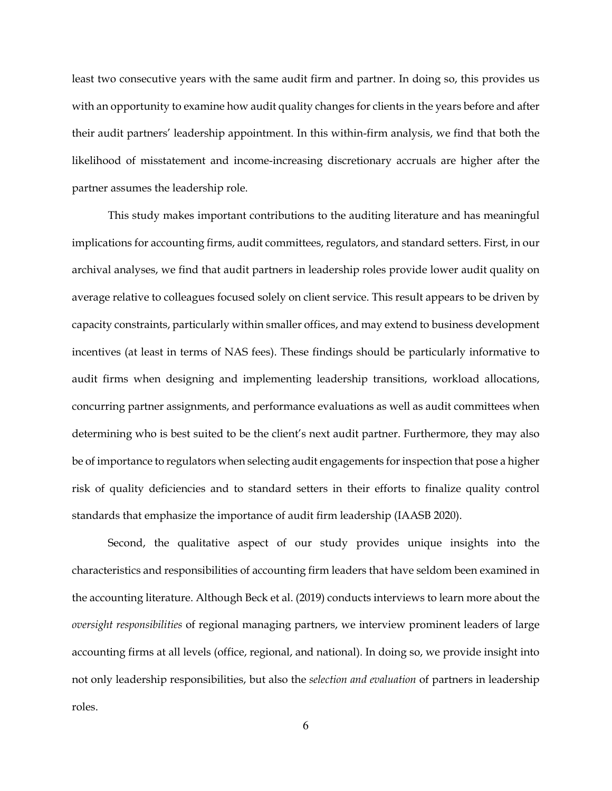least two consecutive years with the same audit firm and partner. In doing so, this provides us with an opportunity to examine how audit quality changes for clients in the years before and after their audit partners' leadership appointment. In this within-firm analysis, we find that both the likelihood of misstatement and income-increasing discretionary accruals are higher after the partner assumes the leadership role.

This study makes important contributions to the auditing literature and has meaningful implications for accounting firms, audit committees, regulators, and standard setters. First, in our archival analyses, we find that audit partners in leadership roles provide lower audit quality on average relative to colleagues focused solely on client service. This result appears to be driven by capacity constraints, particularly within smaller offices, and may extend to business development incentives (at least in terms of NAS fees). These findings should be particularly informative to audit firms when designing and implementing leadership transitions, workload allocations, concurring partner assignments, and performance evaluations as well as audit committees when determining who is best suited to be the client's next audit partner. Furthermore, they may also be of importance to regulators when selecting audit engagements for inspection that pose a higher risk of quality deficiencies and to standard setters in their efforts to finalize quality control standards that emphasize the importance of audit firm leadership (IAASB 2020).

Second, the qualitative aspect of our study provides unique insights into the characteristics and responsibilities of accounting firm leaders that have seldom been examined in the accounting literature. Although Beck et al. (2019) conducts interviews to learn more about the *oversight responsibilities* of regional managing partners, we interview prominent leaders of large accounting firms at all levels (office, regional, and national). In doing so, we provide insight into not only leadership responsibilities, but also the *selection and evaluation* of partners in leadership roles.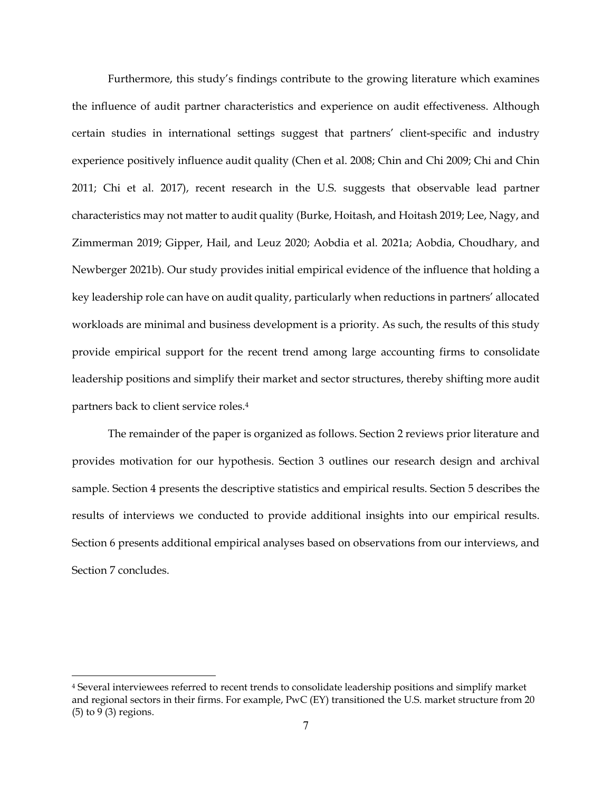Furthermore, this study's findings contribute to the growing literature which examines the influence of audit partner characteristics and experience on audit effectiveness. Although certain studies in international settings suggest that partners' client-specific and industry experience positively influence audit quality (Chen et al. 2008; Chin and Chi 2009; Chi and Chin 2011; Chi et al. 2017), recent research in the U.S. suggests that observable lead partner characteristics may not matter to audit quality (Burke, Hoitash, and Hoitash 2019; Lee, Nagy, and Zimmerman 2019; Gipper, Hail, and Leuz 2020; Aobdia et al. 2021a; Aobdia, Choudhary, and Newberger 2021b). Our study provides initial empirical evidence of the influence that holding a key leadership role can have on audit quality, particularly when reductions in partners' allocated workloads are minimal and business development is a priority. As such, the results of this study provide empirical support for the recent trend among large accounting firms to consolidate leadership positions and simplify their market and sector structures, thereby shifting more audit partners back to client service roles.4

The remainder of the paper is organized as follows. Section 2 reviews prior literature and provides motivation for our hypothesis. Section 3 outlines our research design and archival sample. Section 4 presents the descriptive statistics and empirical results. Section 5 describes the results of interviews we conducted to provide additional insights into our empirical results. Section 6 presents additional empirical analyses based on observations from our interviews, and Section 7 concludes.

<sup>4</sup> Several interviewees referred to recent trends to consolidate leadership positions and simplify market and regional sectors in their firms. For example, PwC (EY) transitioned the U.S. market structure from 20 (5) to 9 (3) regions.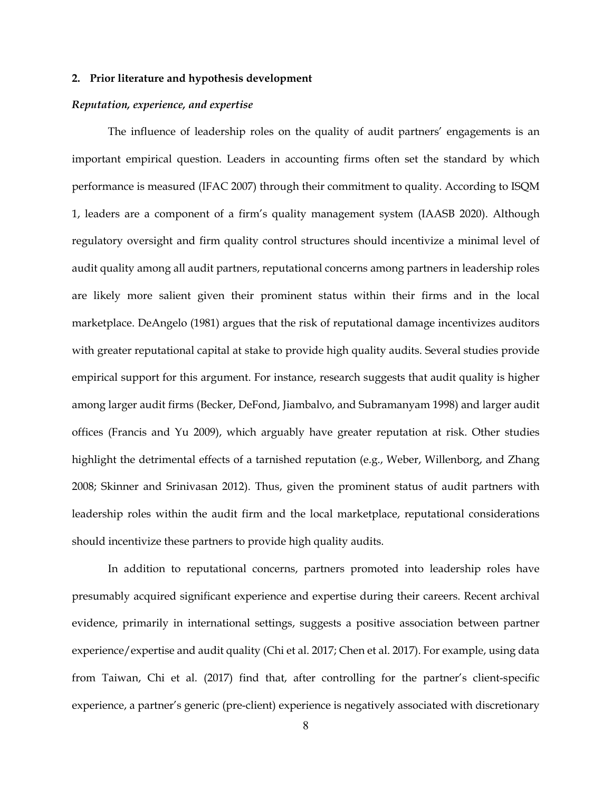#### **2. Prior literature and hypothesis development**

#### *Reputation, experience, and expertise*

The influence of leadership roles on the quality of audit partners' engagements is an important empirical question. Leaders in accounting firms often set the standard by which performance is measured (IFAC 2007) through their commitment to quality. According to ISQM 1, leaders are a component of a firm's quality management system (IAASB 2020). Although regulatory oversight and firm quality control structures should incentivize a minimal level of audit quality among all audit partners, reputational concerns among partners in leadership roles are likely more salient given their prominent status within their firms and in the local marketplace. DeAngelo (1981) argues that the risk of reputational damage incentivizes auditors with greater reputational capital at stake to provide high quality audits. Several studies provide empirical support for this argument. For instance, research suggests that audit quality is higher among larger audit firms (Becker, DeFond, Jiambalvo, and Subramanyam 1998) and larger audit offices (Francis and Yu 2009), which arguably have greater reputation at risk. Other studies highlight the detrimental effects of a tarnished reputation (e.g., Weber, Willenborg, and Zhang 2008; Skinner and Srinivasan 2012). Thus, given the prominent status of audit partners with leadership roles within the audit firm and the local marketplace, reputational considerations should incentivize these partners to provide high quality audits.

In addition to reputational concerns, partners promoted into leadership roles have presumably acquired significant experience and expertise during their careers. Recent archival evidence, primarily in international settings, suggests a positive association between partner experience/expertise and audit quality (Chi et al. 2017; Chen et al. 2017). For example, using data from Taiwan, Chi et al. (2017) find that, after controlling for the partner's client-specific experience, a partner's generic (pre-client) experience is negatively associated with discretionary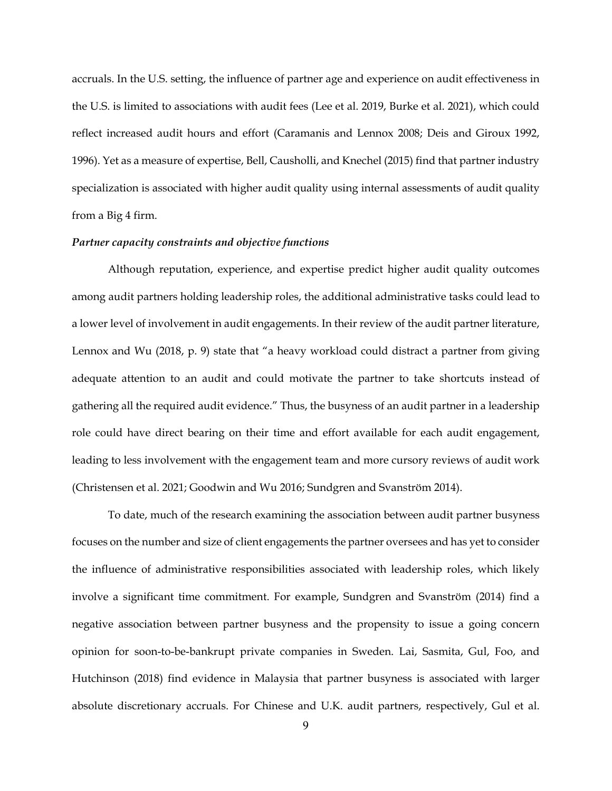accruals. In the U.S. setting, the influence of partner age and experience on audit effectiveness in the U.S. is limited to associations with audit fees (Lee et al. 2019, Burke et al. 2021), which could reflect increased audit hours and effort (Caramanis and Lennox 2008; Deis and Giroux 1992, 1996). Yet as a measure of expertise, Bell, Causholli, and Knechel (2015) find that partner industry specialization is associated with higher audit quality using internal assessments of audit quality from a Big 4 firm.

#### *Partner capacity constraints and objective functions*

Although reputation, experience, and expertise predict higher audit quality outcomes among audit partners holding leadership roles, the additional administrative tasks could lead to a lower level of involvement in audit engagements. In their review of the audit partner literature, Lennox and Wu (2018, p. 9) state that "a heavy workload could distract a partner from giving adequate attention to an audit and could motivate the partner to take shortcuts instead of gathering all the required audit evidence." Thus, the busyness of an audit partner in a leadership role could have direct bearing on their time and effort available for each audit engagement, leading to less involvement with the engagement team and more cursory reviews of audit work (Christensen et al. 2021; Goodwin and Wu 2016; Sundgren and Svanström 2014).

To date, much of the research examining the association between audit partner busyness focuses on the number and size of client engagements the partner oversees and has yet to consider the influence of administrative responsibilities associated with leadership roles, which likely involve a significant time commitment. For example, Sundgren and Svanström (2014) find a negative association between partner busyness and the propensity to issue a going concern opinion for soon-to-be-bankrupt private companies in Sweden. Lai, Sasmita, Gul, Foo, and Hutchinson (2018) find evidence in Malaysia that partner busyness is associated with larger absolute discretionary accruals. For Chinese and U.K. audit partners, respectively, Gul et al.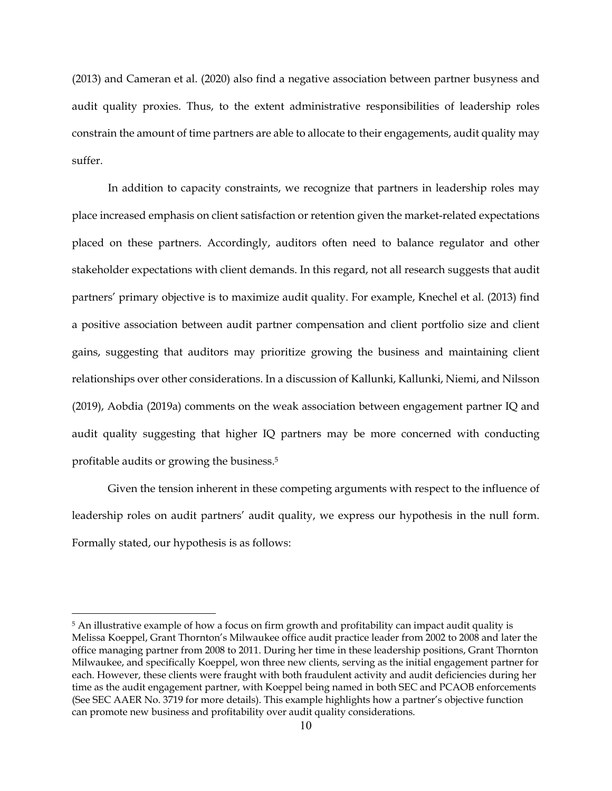(2013) and Cameran et al. (2020) also find a negative association between partner busyness and audit quality proxies. Thus, to the extent administrative responsibilities of leadership roles constrain the amount of time partners are able to allocate to their engagements, audit quality may suffer.

In addition to capacity constraints, we recognize that partners in leadership roles may place increased emphasis on client satisfaction or retention given the market-related expectations placed on these partners. Accordingly, auditors often need to balance regulator and other stakeholder expectations with client demands. In this regard, not all research suggests that audit partners' primary objective is to maximize audit quality. For example, Knechel et al. (2013) find a positive association between audit partner compensation and client portfolio size and client gains, suggesting that auditors may prioritize growing the business and maintaining client relationships over other considerations. In a discussion of Kallunki, Kallunki, Niemi, and Nilsson (2019), Aobdia (2019a) comments on the weak association between engagement partner IQ and audit quality suggesting that higher IQ partners may be more concerned with conducting profitable audits or growing the business.5

Given the tension inherent in these competing arguments with respect to the influence of leadership roles on audit partners' audit quality, we express our hypothesis in the null form. Formally stated, our hypothesis is as follows:

<sup>&</sup>lt;sup>5</sup> An illustrative example of how a focus on firm growth and profitability can impact audit quality is Melissa Koeppel, Grant Thornton's Milwaukee office audit practice leader from 2002 to 2008 and later the office managing partner from 2008 to 2011. During her time in these leadership positions, Grant Thornton Milwaukee, and specifically Koeppel, won three new clients, serving as the initial engagement partner for each. However, these clients were fraught with both fraudulent activity and audit deficiencies during her time as the audit engagement partner, with Koeppel being named in both SEC and PCAOB enforcements (See SEC AAER No. 3719 for more details). This example highlights how a partner's objective function can promote new business and profitability over audit quality considerations.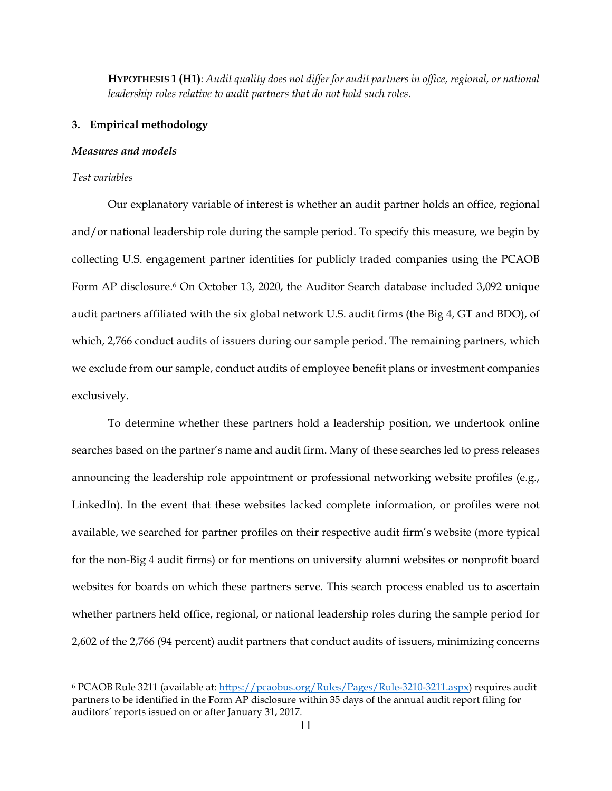**HYPOTHESIS 1 (H1)***: Audit quality does not differ for audit partners in office, regional, or national leadership roles relative to audit partners that do not hold such roles.* 

#### **3. Empirical methodology**

#### *Measures and models*

#### *Test variables*

Our explanatory variable of interest is whether an audit partner holds an office, regional and/or national leadership role during the sample period. To specify this measure, we begin by collecting U.S. engagement partner identities for publicly traded companies using the PCAOB Form AP disclosure.<sup>6</sup> On October 13, 2020, the Auditor Search database included 3,092 unique audit partners affiliated with the six global network U.S. audit firms (the Big 4, GT and BDO), of which, 2,766 conduct audits of issuers during our sample period. The remaining partners, which we exclude from our sample, conduct audits of employee benefit plans or investment companies exclusively.

To determine whether these partners hold a leadership position, we undertook online searches based on the partner's name and audit firm. Many of these searches led to press releases announcing the leadership role appointment or professional networking website profiles (e.g., LinkedIn). In the event that these websites lacked complete information, or profiles were not available, we searched for partner profiles on their respective audit firm's website (more typical for the non-Big 4 audit firms) or for mentions on university alumni websites or nonprofit board websites for boards on which these partners serve. This search process enabled us to ascertain whether partners held office, regional, or national leadership roles during the sample period for 2,602 of the 2,766 (94 percent) audit partners that conduct audits of issuers, minimizing concerns

<sup>&</sup>lt;sup>6</sup> PCAOB Rule 3211 (available at: https://pcaobus.org/Rules/Pages/Rule-3210-3211.aspx) requires audit partners to be identified in the Form AP disclosure within 35 days of the annual audit report filing for auditors' reports issued on or after January 31, 2017.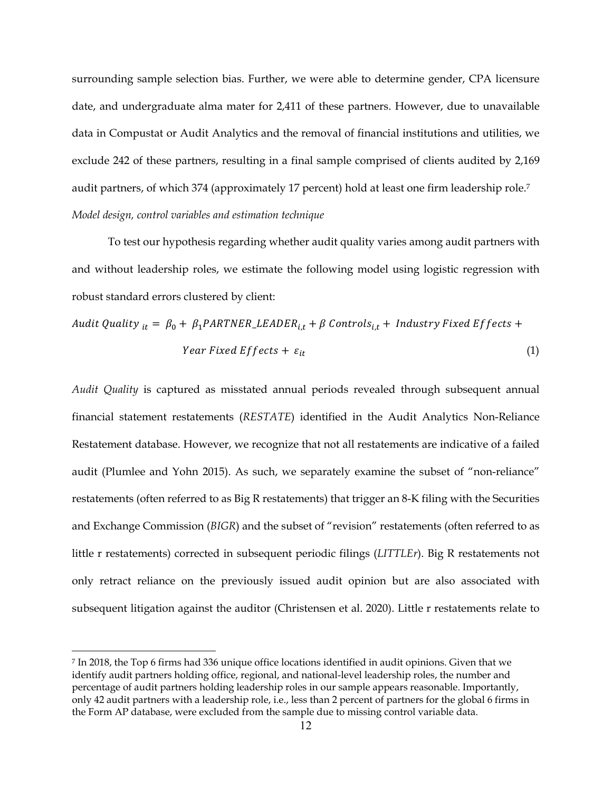surrounding sample selection bias. Further, we were able to determine gender, CPA licensure date, and undergraduate alma mater for 2,411 of these partners. However, due to unavailable data in Compustat or Audit Analytics and the removal of financial institutions and utilities, we exclude 242 of these partners, resulting in a final sample comprised of clients audited by 2,169 audit partners, of which 374 (approximately 17 percent) hold at least one firm leadership role.7 *Model design, control variables and estimation technique* 

To test our hypothesis regarding whether audit quality varies among audit partners with and without leadership roles, we estimate the following model using logistic regression with robust standard errors clustered by client:

*Audio Quality* 
$$
_{it} = \beta_0 + \beta_1 PARTNER\_LEADER_{i,t} + \beta
$$
 *Controls*<sub>i,t</sub> + *Industry Fixed Effects* +  
*Year Fixed Effects* +  $\varepsilon_{it}$  (1)

*Audit Quality* is captured as misstated annual periods revealed through subsequent annual financial statement restatements (*RESTATE*) identified in the Audit Analytics Non-Reliance Restatement database. However, we recognize that not all restatements are indicative of a failed audit (Plumlee and Yohn 2015). As such, we separately examine the subset of "non-reliance" restatements (often referred to as Big R restatements) that trigger an 8-K filing with the Securities and Exchange Commission (*BIGR*) and the subset of "revision" restatements (often referred to as little r restatements) corrected in subsequent periodic filings (*LITTLEr*). Big R restatements not only retract reliance on the previously issued audit opinion but are also associated with subsequent litigation against the auditor (Christensen et al. 2020). Little r restatements relate to

<sup>7</sup> In 2018, the Top 6 firms had 336 unique office locations identified in audit opinions. Given that we identify audit partners holding office, regional, and national-level leadership roles, the number and percentage of audit partners holding leadership roles in our sample appears reasonable. Importantly, only 42 audit partners with a leadership role, i.e., less than 2 percent of partners for the global 6 firms in the Form AP database, were excluded from the sample due to missing control variable data.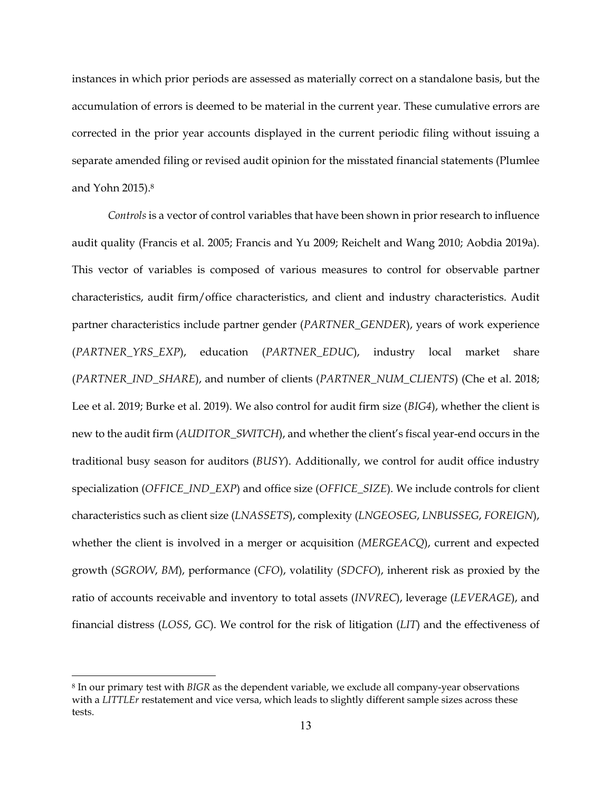instances in which prior periods are assessed as materially correct on a standalone basis, but the accumulation of errors is deemed to be material in the current year. These cumulative errors are corrected in the prior year accounts displayed in the current periodic filing without issuing a separate amended filing or revised audit opinion for the misstated financial statements (Plumlee and Yohn 2015).8

*Controls* is a vector of control variables that have been shown in prior research to influence audit quality (Francis et al. 2005; Francis and Yu 2009; Reichelt and Wang 2010; Aobdia 2019a). This vector of variables is composed of various measures to control for observable partner characteristics, audit firm/office characteristics, and client and industry characteristics. Audit partner characteristics include partner gender (*PARTNER\_GENDER*), years of work experience (*PARTNER\_YRS\_EXP*), education (*PARTNER\_EDUC*), industry local market share (*PARTNER\_IND\_SHARE*), and number of clients (*PARTNER\_NUM\_CLIENTS*) (Che et al. 2018; Lee et al. 2019; Burke et al. 2019). We also control for audit firm size (*BIG4*), whether the client is new to the audit firm (*AUDITOR\_SWITCH*), and whether the client's fiscal year-end occurs in the traditional busy season for auditors (*BUSY*). Additionally, we control for audit office industry specialization (*OFFICE\_IND\_EXP*) and office size (*OFFICE\_SIZE*). We include controls for client characteristics such as client size (*LNASSETS*), complexity (*LNGEOSEG*, *LNBUSSEG*, *FOREIGN*), whether the client is involved in a merger or acquisition (*MERGEACQ*), current and expected growth (*SGROW*, *BM*), performance (*CFO*), volatility (*SDCFO*), inherent risk as proxied by the ratio of accounts receivable and inventory to total assets (*INVREC*), leverage (*LEVERAGE*), and financial distress (*LOSS*, *GC*). We control for the risk of litigation (*LIT*) and the effectiveness of

<sup>8</sup> In our primary test with *BIGR* as the dependent variable, we exclude all company-year observations with a *LITTLEr* restatement and vice versa, which leads to slightly different sample sizes across these tests.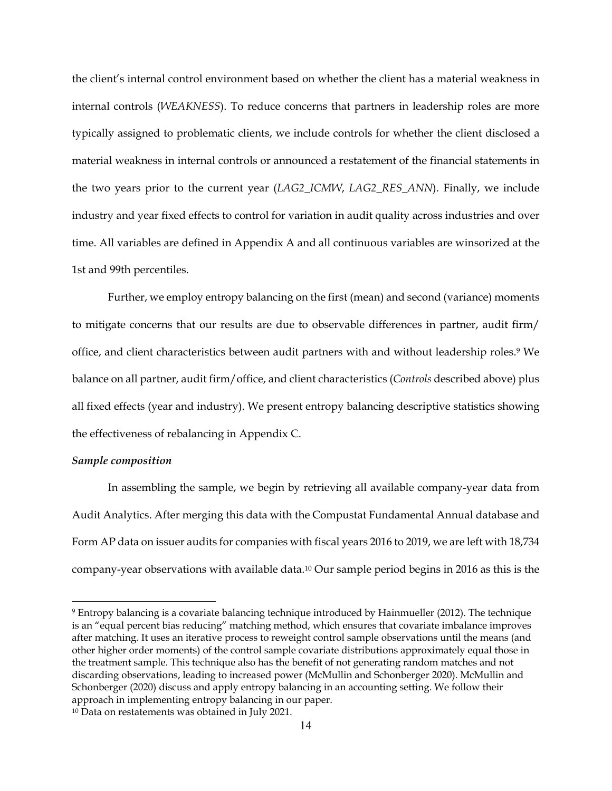the client's internal control environment based on whether the client has a material weakness in internal controls (*WEAKNESS*). To reduce concerns that partners in leadership roles are more typically assigned to problematic clients, we include controls for whether the client disclosed a material weakness in internal controls or announced a restatement of the financial statements in the two years prior to the current year (*LAG2\_ICMW*, *LAG2\_RES\_ANN*). Finally, we include industry and year fixed effects to control for variation in audit quality across industries and over time. All variables are defined in Appendix A and all continuous variables are winsorized at the 1st and 99th percentiles.

Further, we employ entropy balancing on the first (mean) and second (variance) moments to mitigate concerns that our results are due to observable differences in partner, audit firm/ office, and client characteristics between audit partners with and without leadership roles.9 We balance on all partner, audit firm/office, and client characteristics (*Controls* described above) plus all fixed effects (year and industry). We present entropy balancing descriptive statistics showing the effectiveness of rebalancing in Appendix C.

## *Sample composition*

In assembling the sample, we begin by retrieving all available company-year data from Audit Analytics. After merging this data with the Compustat Fundamental Annual database and Form AP data on issuer audits for companies with fiscal years 2016 to 2019, we are left with 18,734 company-year observations with available data.10 Our sample period begins in 2016 as this is the

<sup>9</sup> Entropy balancing is a covariate balancing technique introduced by Hainmueller (2012). The technique is an "equal percent bias reducing" matching method, which ensures that covariate imbalance improves after matching. It uses an iterative process to reweight control sample observations until the means (and other higher order moments) of the control sample covariate distributions approximately equal those in the treatment sample. This technique also has the benefit of not generating random matches and not discarding observations, leading to increased power (McMullin and Schonberger 2020). McMullin and Schonberger (2020) discuss and apply entropy balancing in an accounting setting. We follow their approach in implementing entropy balancing in our paper.

<sup>10</sup> Data on restatements was obtained in July 2021.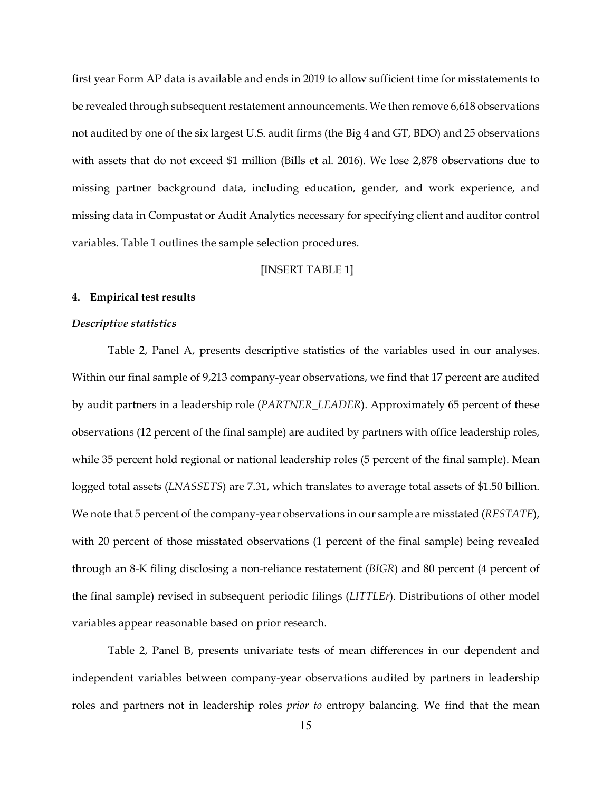first year Form AP data is available and ends in 2019 to allow sufficient time for misstatements to be revealed through subsequent restatement announcements. We then remove 6,618 observations not audited by one of the six largest U.S. audit firms (the Big 4 and GT, BDO) and 25 observations with assets that do not exceed \$1 million (Bills et al. 2016). We lose 2,878 observations due to missing partner background data, including education, gender, and work experience, and missing data in Compustat or Audit Analytics necessary for specifying client and auditor control variables. Table 1 outlines the sample selection procedures.

### [INSERT TABLE 1]

## **4. Empirical test results**

#### *Descriptive statistics*

Table 2, Panel A, presents descriptive statistics of the variables used in our analyses. Within our final sample of 9,213 company-year observations, we find that 17 percent are audited by audit partners in a leadership role (*PARTNER\_LEADER*). Approximately 65 percent of these observations (12 percent of the final sample) are audited by partners with office leadership roles, while 35 percent hold regional or national leadership roles (5 percent of the final sample). Mean logged total assets (*LNASSETS*) are 7.31, which translates to average total assets of \$1.50 billion. We note that 5 percent of the company-year observations in our sample are misstated (*RESTATE*), with 20 percent of those misstated observations (1 percent of the final sample) being revealed through an 8-K filing disclosing a non-reliance restatement (*BIGR*) and 80 percent (4 percent of the final sample) revised in subsequent periodic filings (*LITTLEr*). Distributions of other model variables appear reasonable based on prior research.

Table 2, Panel B, presents univariate tests of mean differences in our dependent and independent variables between company-year observations audited by partners in leadership roles and partners not in leadership roles *prior to* entropy balancing. We find that the mean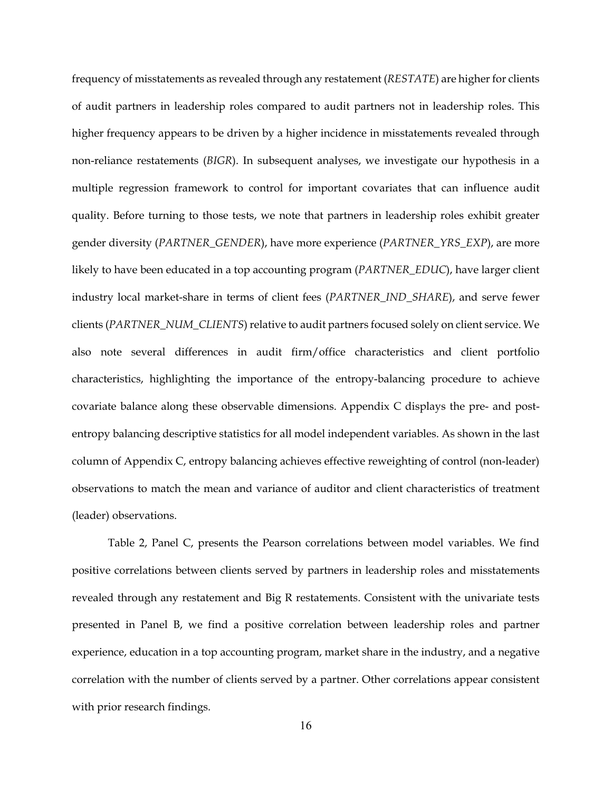frequency of misstatements as revealed through any restatement (*RESTATE*) are higher for clients of audit partners in leadership roles compared to audit partners not in leadership roles. This higher frequency appears to be driven by a higher incidence in misstatements revealed through non-reliance restatements (*BIGR*). In subsequent analyses, we investigate our hypothesis in a multiple regression framework to control for important covariates that can influence audit quality. Before turning to those tests, we note that partners in leadership roles exhibit greater gender diversity (*PARTNER\_GENDER*), have more experience (*PARTNER\_YRS\_EXP*), are more likely to have been educated in a top accounting program (*PARTNER\_EDUC*), have larger client industry local market-share in terms of client fees (*PARTNER\_IND\_SHARE*), and serve fewer clients (*PARTNER\_NUM\_CLIENTS*) relative to audit partners focused solely on client service. We also note several differences in audit firm/office characteristics and client portfolio characteristics, highlighting the importance of the entropy-balancing procedure to achieve covariate balance along these observable dimensions. Appendix C displays the pre- and postentropy balancing descriptive statistics for all model independent variables. As shown in the last column of Appendix C, entropy balancing achieves effective reweighting of control (non-leader) observations to match the mean and variance of auditor and client characteristics of treatment (leader) observations.

Table 2, Panel C, presents the Pearson correlations between model variables. We find positive correlations between clients served by partners in leadership roles and misstatements revealed through any restatement and Big R restatements. Consistent with the univariate tests presented in Panel B, we find a positive correlation between leadership roles and partner experience, education in a top accounting program, market share in the industry, and a negative correlation with the number of clients served by a partner. Other correlations appear consistent with prior research findings.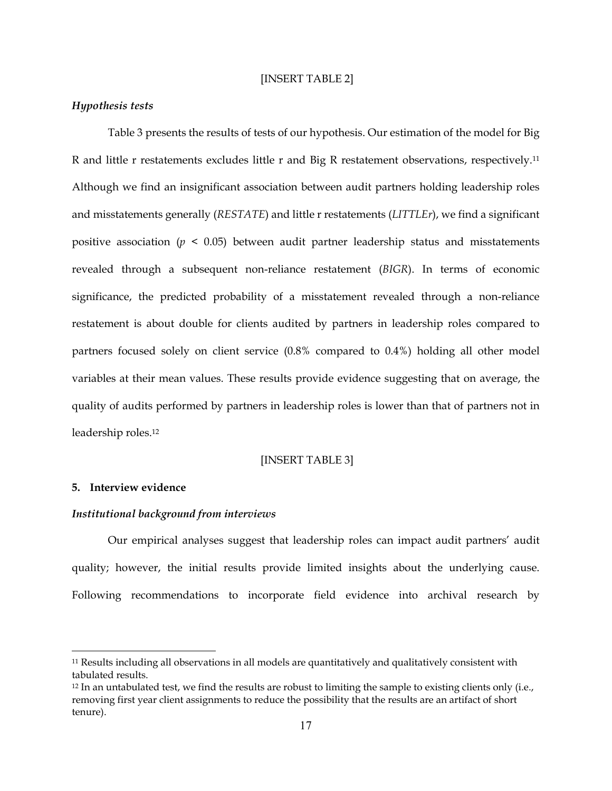#### [INSERT TABLE 2]

#### *Hypothesis tests*

Table 3 presents the results of tests of our hypothesis. Our estimation of the model for Big R and little r restatements excludes little r and Big R restatement observations, respectively.11 Although we find an insignificant association between audit partners holding leadership roles and misstatements generally (*RESTATE*) and little r restatements (*LITTLEr*), we find a significant positive association ( $p < 0.05$ ) between audit partner leadership status and misstatements revealed through a subsequent non-reliance restatement (*BIGR*). In terms of economic significance, the predicted probability of a misstatement revealed through a non-reliance restatement is about double for clients audited by partners in leadership roles compared to partners focused solely on client service (0.8% compared to 0.4%) holding all other model variables at their mean values. These results provide evidence suggesting that on average, the quality of audits performed by partners in leadership roles is lower than that of partners not in leadership roles.12

#### [INSERT TABLE 3]

### **5. Interview evidence**

#### *Institutional background from interviews*

Our empirical analyses suggest that leadership roles can impact audit partners' audit quality; however, the initial results provide limited insights about the underlying cause. Following recommendations to incorporate field evidence into archival research by

<sup>11</sup> Results including all observations in all models are quantitatively and qualitatively consistent with tabulated results.

<sup>&</sup>lt;sup>12</sup> In an untabulated test, we find the results are robust to limiting the sample to existing clients only (i.e., removing first year client assignments to reduce the possibility that the results are an artifact of short tenure).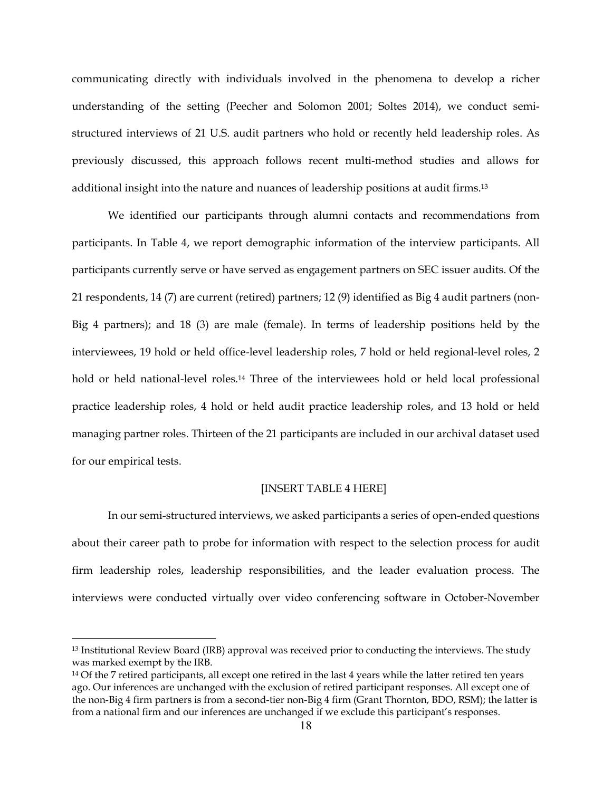communicating directly with individuals involved in the phenomena to develop a richer understanding of the setting (Peecher and Solomon 2001; Soltes 2014), we conduct semistructured interviews of 21 U.S. audit partners who hold or recently held leadership roles. As previously discussed, this approach follows recent multi-method studies and allows for additional insight into the nature and nuances of leadership positions at audit firms.13

We identified our participants through alumni contacts and recommendations from participants. In Table 4, we report demographic information of the interview participants. All participants currently serve or have served as engagement partners on SEC issuer audits. Of the 21 respondents, 14 (7) are current (retired) partners; 12 (9) identified as Big 4 audit partners (non-Big 4 partners); and 18 (3) are male (female). In terms of leadership positions held by the interviewees, 19 hold or held office-level leadership roles, 7 hold or held regional-level roles, 2 hold or held national-level roles.<sup>14</sup> Three of the interviewees hold or held local professional practice leadership roles, 4 hold or held audit practice leadership roles, and 13 hold or held managing partner roles. Thirteen of the 21 participants are included in our archival dataset used for our empirical tests.

## [INSERT TABLE 4 HERE]

In our semi-structured interviews, we asked participants a series of open-ended questions about their career path to probe for information with respect to the selection process for audit firm leadership roles, leadership responsibilities, and the leader evaluation process. The interviews were conducted virtually over video conferencing software in October-November

<sup>13</sup> Institutional Review Board (IRB) approval was received prior to conducting the interviews. The study was marked exempt by the IRB.

<sup>&</sup>lt;sup>14</sup> Of the 7 retired participants, all except one retired in the last 4 years while the latter retired ten years ago. Our inferences are unchanged with the exclusion of retired participant responses. All except one of the non-Big 4 firm partners is from a second-tier non-Big 4 firm (Grant Thornton, BDO, RSM); the latter is from a national firm and our inferences are unchanged if we exclude this participant's responses.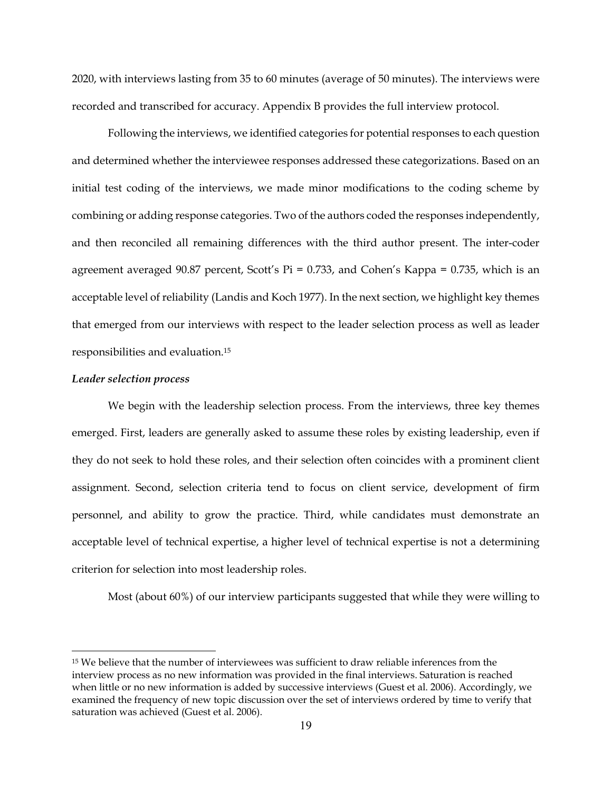2020, with interviews lasting from 35 to 60 minutes (average of 50 minutes). The interviews were recorded and transcribed for accuracy. Appendix B provides the full interview protocol.

Following the interviews, we identified categories for potential responses to each question and determined whether the interviewee responses addressed these categorizations. Based on an initial test coding of the interviews, we made minor modifications to the coding scheme by combining or adding response categories. Two of the authors coded the responses independently, and then reconciled all remaining differences with the third author present. The inter-coder agreement averaged 90.87 percent, Scott's  $Pi = 0.733$ , and Cohen's Kappa = 0.735, which is an acceptable level of reliability (Landis and Koch 1977). In the next section, we highlight key themes that emerged from our interviews with respect to the leader selection process as well as leader responsibilities and evaluation.15

#### *Leader selection process*

We begin with the leadership selection process. From the interviews, three key themes emerged. First, leaders are generally asked to assume these roles by existing leadership, even if they do not seek to hold these roles, and their selection often coincides with a prominent client assignment. Second, selection criteria tend to focus on client service, development of firm personnel, and ability to grow the practice. Third, while candidates must demonstrate an acceptable level of technical expertise, a higher level of technical expertise is not a determining criterion for selection into most leadership roles.

Most (about 60%) of our interview participants suggested that while they were willing to

<sup>&</sup>lt;sup>15</sup> We believe that the number of interviewees was sufficient to draw reliable inferences from the interview process as no new information was provided in the final interviews. Saturation is reached when little or no new information is added by successive interviews (Guest et al. 2006). Accordingly, we examined the frequency of new topic discussion over the set of interviews ordered by time to verify that saturation was achieved (Guest et al. 2006).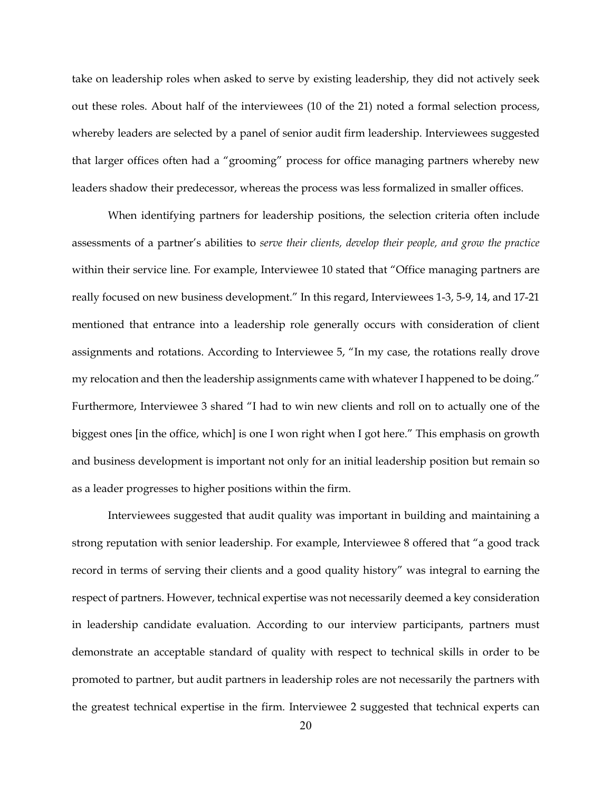take on leadership roles when asked to serve by existing leadership, they did not actively seek out these roles. About half of the interviewees (10 of the 21) noted a formal selection process, whereby leaders are selected by a panel of senior audit firm leadership. Interviewees suggested that larger offices often had a "grooming" process for office managing partners whereby new leaders shadow their predecessor, whereas the process was less formalized in smaller offices.

When identifying partners for leadership positions, the selection criteria often include assessments of a partner's abilities to *serve their clients, develop their people, and grow the practice*  within their service line*.* For example, Interviewee 10 stated that "Office managing partners are really focused on new business development." In this regard, Interviewees 1-3, 5-9, 14, and 17-21 mentioned that entrance into a leadership role generally occurs with consideration of client assignments and rotations. According to Interviewee 5, "In my case, the rotations really drove my relocation and then the leadership assignments came with whatever I happened to be doing." Furthermore, Interviewee 3 shared "I had to win new clients and roll on to actually one of the biggest ones [in the office, which] is one I won right when I got here." This emphasis on growth and business development is important not only for an initial leadership position but remain so as a leader progresses to higher positions within the firm.

Interviewees suggested that audit quality was important in building and maintaining a strong reputation with senior leadership. For example, Interviewee 8 offered that "a good track record in terms of serving their clients and a good quality history" was integral to earning the respect of partners. However, technical expertise was not necessarily deemed a key consideration in leadership candidate evaluation. According to our interview participants, partners must demonstrate an acceptable standard of quality with respect to technical skills in order to be promoted to partner, but audit partners in leadership roles are not necessarily the partners with the greatest technical expertise in the firm. Interviewee 2 suggested that technical experts can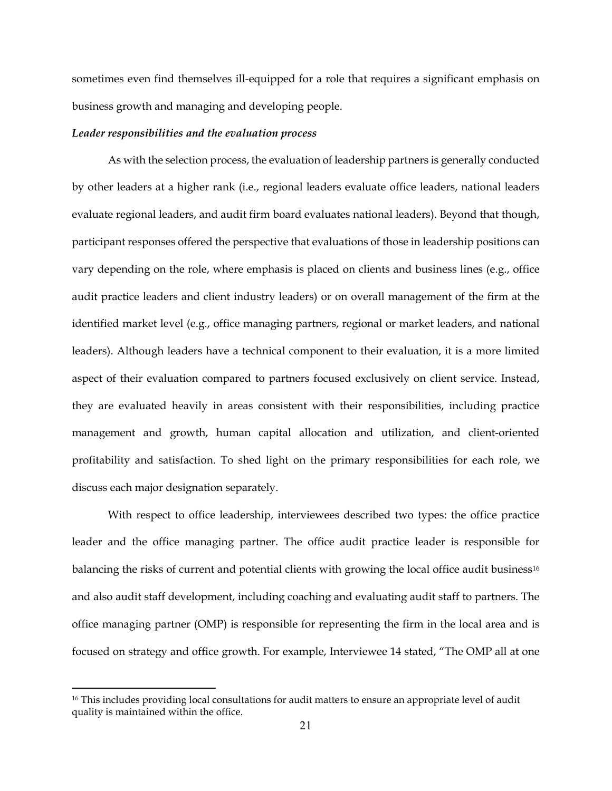sometimes even find themselves ill-equipped for a role that requires a significant emphasis on business growth and managing and developing people.

#### *Leader responsibilities and the evaluation process*

As with the selection process, the evaluation of leadership partners is generally conducted by other leaders at a higher rank (i.e., regional leaders evaluate office leaders, national leaders evaluate regional leaders, and audit firm board evaluates national leaders). Beyond that though, participant responses offered the perspective that evaluations of those in leadership positions can vary depending on the role, where emphasis is placed on clients and business lines (e.g., office audit practice leaders and client industry leaders) or on overall management of the firm at the identified market level (e.g., office managing partners, regional or market leaders, and national leaders). Although leaders have a technical component to their evaluation, it is a more limited aspect of their evaluation compared to partners focused exclusively on client service. Instead, they are evaluated heavily in areas consistent with their responsibilities, including practice management and growth, human capital allocation and utilization, and client-oriented profitability and satisfaction. To shed light on the primary responsibilities for each role, we discuss each major designation separately.

With respect to office leadership, interviewees described two types: the office practice leader and the office managing partner. The office audit practice leader is responsible for balancing the risks of current and potential clients with growing the local office audit business<sup>16</sup> and also audit staff development, including coaching and evaluating audit staff to partners. The office managing partner (OMP) is responsible for representing the firm in the local area and is focused on strategy and office growth. For example, Interviewee 14 stated, "The OMP all at one

<sup>&</sup>lt;sup>16</sup> This includes providing local consultations for audit matters to ensure an appropriate level of audit quality is maintained within the office.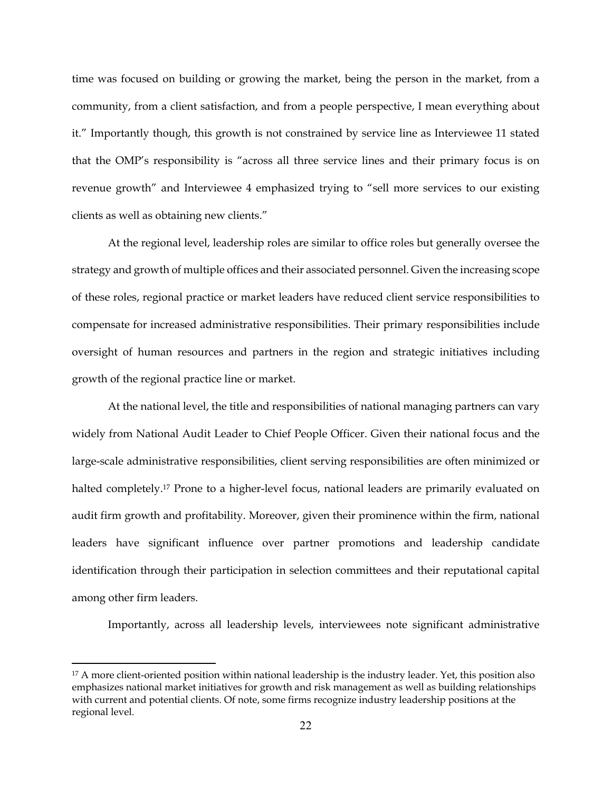time was focused on building or growing the market, being the person in the market, from a community, from a client satisfaction, and from a people perspective, I mean everything about it." Importantly though, this growth is not constrained by service line as Interviewee 11 stated that the OMP's responsibility is "across all three service lines and their primary focus is on revenue growth" and Interviewee 4 emphasized trying to "sell more services to our existing clients as well as obtaining new clients."

At the regional level, leadership roles are similar to office roles but generally oversee the strategy and growth of multiple offices and their associated personnel. Given the increasing scope of these roles, regional practice or market leaders have reduced client service responsibilities to compensate for increased administrative responsibilities. Their primary responsibilities include oversight of human resources and partners in the region and strategic initiatives including growth of the regional practice line or market.

At the national level, the title and responsibilities of national managing partners can vary widely from National Audit Leader to Chief People Officer. Given their national focus and the large-scale administrative responsibilities, client serving responsibilities are often minimized or halted completely.<sup>17</sup> Prone to a higher-level focus, national leaders are primarily evaluated on audit firm growth and profitability. Moreover, given their prominence within the firm, national leaders have significant influence over partner promotions and leadership candidate identification through their participation in selection committees and their reputational capital among other firm leaders.

Importantly, across all leadership levels, interviewees note significant administrative

<sup>&</sup>lt;sup>17</sup> A more client-oriented position within national leadership is the industry leader. Yet, this position also emphasizes national market initiatives for growth and risk management as well as building relationships with current and potential clients. Of note, some firms recognize industry leadership positions at the regional level.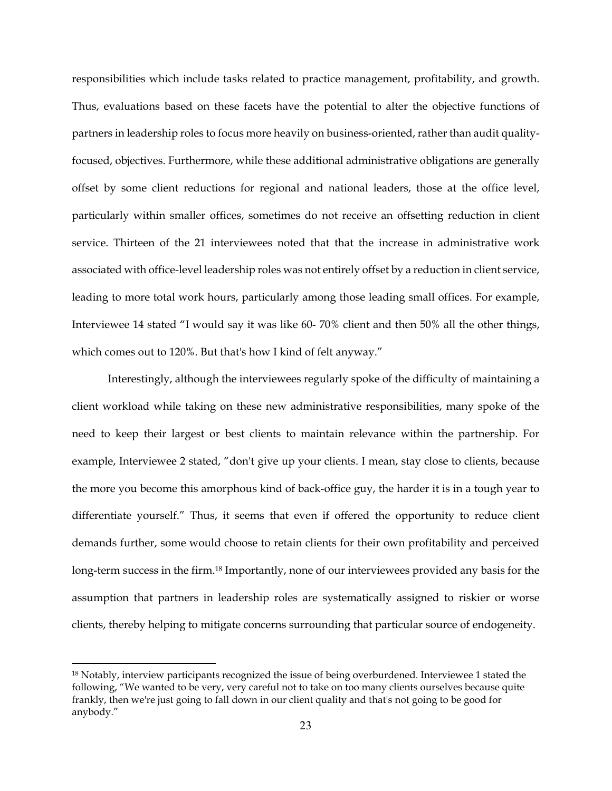responsibilities which include tasks related to practice management, profitability, and growth. Thus, evaluations based on these facets have the potential to alter the objective functions of partners in leadership roles to focus more heavily on business-oriented, rather than audit qualityfocused, objectives. Furthermore, while these additional administrative obligations are generally offset by some client reductions for regional and national leaders, those at the office level, particularly within smaller offices, sometimes do not receive an offsetting reduction in client service. Thirteen of the 21 interviewees noted that that the increase in administrative work associated with office-level leadership roles was not entirely offset by a reduction in client service, leading to more total work hours, particularly among those leading small offices. For example, Interviewee 14 stated "I would say it was like 60- 70% client and then 50% all the other things, which comes out to 120%. But that's how I kind of felt anyway."

Interestingly, although the interviewees regularly spoke of the difficulty of maintaining a client workload while taking on these new administrative responsibilities, many spoke of the need to keep their largest or best clients to maintain relevance within the partnership. For example, Interviewee 2 stated, "don't give up your clients. I mean, stay close to clients, because the more you become this amorphous kind of back-office guy, the harder it is in a tough year to differentiate yourself." Thus, it seems that even if offered the opportunity to reduce client demands further, some would choose to retain clients for their own profitability and perceived long-term success in the firm.<sup>18</sup> Importantly, none of our interviewees provided any basis for the assumption that partners in leadership roles are systematically assigned to riskier or worse clients, thereby helping to mitigate concerns surrounding that particular source of endogeneity.

<sup>&</sup>lt;sup>18</sup> Notably, interview participants recognized the issue of being overburdened. Interviewee 1 stated the following, "We wanted to be very, very careful not to take on too many clients ourselves because quite frankly, then we're just going to fall down in our client quality and that's not going to be good for anybody."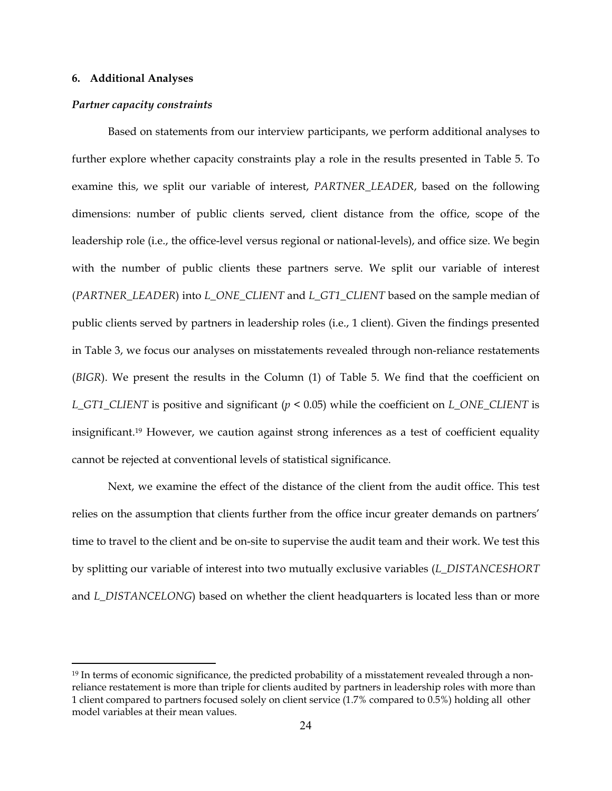#### **6. Additional Analyses**

#### *Partner capacity constraints*

Based on statements from our interview participants, we perform additional analyses to further explore whether capacity constraints play a role in the results presented in Table 5. To examine this, we split our variable of interest, *PARTNER\_LEADER*, based on the following dimensions: number of public clients served, client distance from the office, scope of the leadership role (i.e., the office-level versus regional or national-levels), and office size. We begin with the number of public clients these partners serve. We split our variable of interest (*PARTNER\_LEADER*) into *L\_ONE\_CLIENT* and *L\_GT1\_CLIENT* based on the sample median of public clients served by partners in leadership roles (i.e., 1 client). Given the findings presented in Table 3, we focus our analyses on misstatements revealed through non-reliance restatements (*BIGR*). We present the results in the Column (1) of Table 5. We find that the coefficient on *L\_GT1\_CLIENT* is positive and significant (*p* < 0.05) while the coefficient on *L\_ONE\_CLIENT* is insignificant.19 However, we caution against strong inferences as a test of coefficient equality cannot be rejected at conventional levels of statistical significance.

Next, we examine the effect of the distance of the client from the audit office. This test relies on the assumption that clients further from the office incur greater demands on partners' time to travel to the client and be on-site to supervise the audit team and their work. We test this by splitting our variable of interest into two mutually exclusive variables (*L\_DISTANCESHORT* and *L\_DISTANCELONG*) based on whether the client headquarters is located less than or more

<sup>&</sup>lt;sup>19</sup> In terms of economic significance, the predicted probability of a misstatement revealed through a nonreliance restatement is more than triple for clients audited by partners in leadership roles with more than 1 client compared to partners focused solely on client service (1.7% compared to 0.5%) holding all other model variables at their mean values.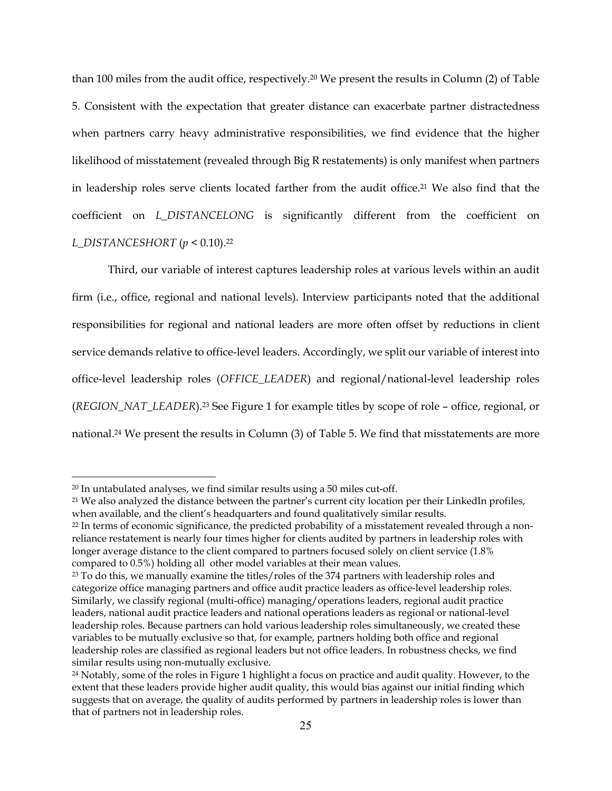than 100 miles from the audit office, respectively.20 We present the results in Column (2) of Table 5. Consistent with the expectation that greater distance can exacerbate partner distractedness when partners carry heavy administrative responsibilities, we find evidence that the higher likelihood of misstatement (revealed through Big R restatements) is only manifest when partners in leadership roles serve clients located farther from the audit office.21 We also find that the coefficient on *L\_DISTANCELONG* is significantly different from the coefficient on *L\_DISTANCESHORT* (*p* < 0.10).22

Third, our variable of interest captures leadership roles at various levels within an audit firm (i.e., office, regional and national levels). Interview participants noted that the additional responsibilities for regional and national leaders are more often offset by reductions in client service demands relative to office-level leaders. Accordingly, we split our variable of interest into office-level leadership roles (*OFFICE\_LEADER*) and regional/national-level leadership roles (*REGION\_NAT\_LEADER*).23 See Figure 1 for example titles by scope of role – office, regional, or national.24 We present the results in Column (3) of Table 5. We find that misstatements are more

<sup>20</sup> In untabulated analyses, we find similar results using a 50 miles cut-off.

<sup>&</sup>lt;sup>21</sup> We also analyzed the distance between the partner's current city location per their LinkedIn profiles, when available, and the client's headquarters and found qualitatively similar results.

<sup>&</sup>lt;sup>22</sup> In terms of economic significance, the predicted probability of a misstatement revealed through a nonreliance restatement is nearly four times higher for clients audited by partners in leadership roles with longer average distance to the client compared to partners focused solely on client service (1.8% compared to 0.5%) holding all other model variables at their mean values.

 $23$  To do this, we manually examine the titles/roles of the 374 partners with leadership roles and categorize office managing partners and office audit practice leaders as office-level leadership roles. Similarly, we classify regional (multi-office) managing/operations leaders, regional audit practice leaders, national audit practice leaders and national operations leaders as regional or national-level leadership roles. Because partners can hold various leadership roles simultaneously, we created these variables to be mutually exclusive so that, for example, partners holding both office and regional leadership roles are classified as regional leaders but not office leaders. In robustness checks, we find similar results using non-mutually exclusive.

<sup>&</sup>lt;sup>24</sup> Notably, some of the roles in Figure 1 highlight a focus on practice and audit quality. However, to the extent that these leaders provide higher audit quality, this would bias against our initial finding which suggests that on average, the quality of audits performed by partners in leadership roles is lower than that of partners not in leadership roles.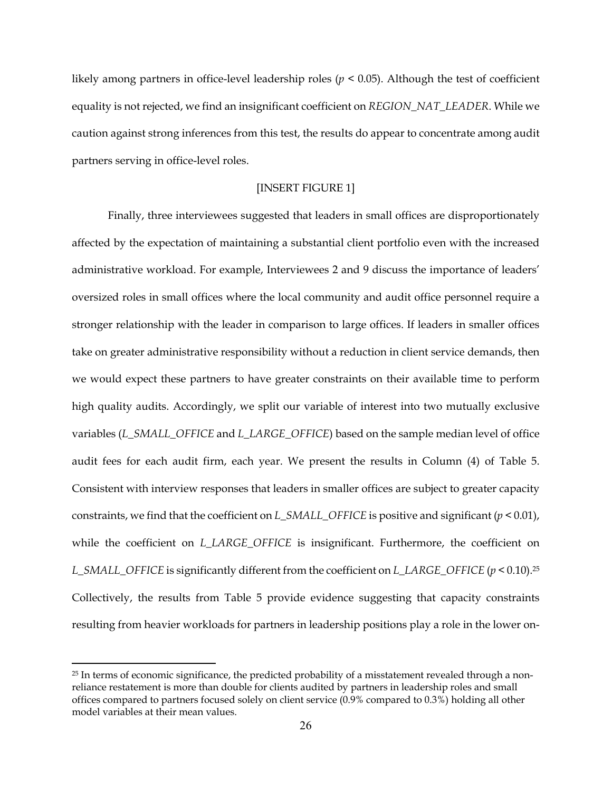likely among partners in office-level leadership roles ( $p < 0.05$ ). Although the test of coefficient equality is not rejected, we find an insignificant coefficient on *REGION\_NAT\_LEADER*. While we caution against strong inferences from this test, the results do appear to concentrate among audit partners serving in office-level roles.

## [INSERT FIGURE 1]

Finally, three interviewees suggested that leaders in small offices are disproportionately affected by the expectation of maintaining a substantial client portfolio even with the increased administrative workload. For example, Interviewees 2 and 9 discuss the importance of leaders' oversized roles in small offices where the local community and audit office personnel require a stronger relationship with the leader in comparison to large offices. If leaders in smaller offices take on greater administrative responsibility without a reduction in client service demands, then we would expect these partners to have greater constraints on their available time to perform high quality audits. Accordingly, we split our variable of interest into two mutually exclusive variables (*L\_SMALL\_OFFICE* and *L\_LARGE\_OFFICE*) based on the sample median level of office audit fees for each audit firm, each year. We present the results in Column (4) of Table 5. Consistent with interview responses that leaders in smaller offices are subject to greater capacity constraints, we find that the coefficient on *L\_SMALL\_OFFICE* is positive and significant (*p* < 0.01), while the coefficient on *L\_LARGE\_OFFICE* is insignificant. Furthermore, the coefficient on *L\_SMALL\_OFFICE* is significantly different from the coefficient on *L\_LARGE\_OFFICE* (*p* < 0.10).25 Collectively, the results from Table 5 provide evidence suggesting that capacity constraints resulting from heavier workloads for partners in leadership positions play a role in the lower on-

<sup>&</sup>lt;sup>25</sup> In terms of economic significance, the predicted probability of a misstatement revealed through a nonreliance restatement is more than double for clients audited by partners in leadership roles and small offices compared to partners focused solely on client service (0.9% compared to 0.3%) holding all other model variables at their mean values.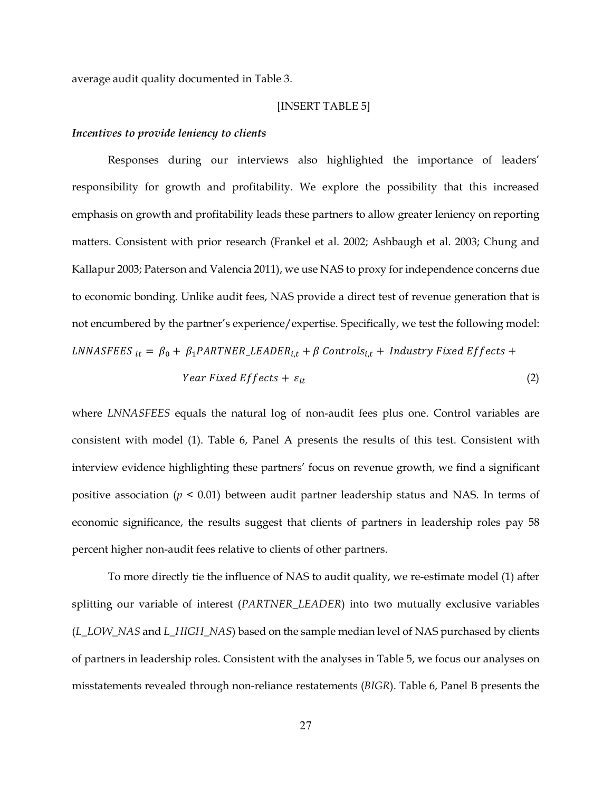average audit quality documented in Table 3.

#### [INSERT TABLE 5]

## *Incentives to provide leniency to clients*

Responses during our interviews also highlighted the importance of leaders' responsibility for growth and profitability. We explore the possibility that this increased emphasis on growth and profitability leads these partners to allow greater leniency on reporting matters. Consistent with prior research (Frankel et al. 2002; Ashbaugh et al. 2003; Chung and Kallapur 2003; Paterson and Valencia 2011), we use NAS to proxy for independence concerns due to economic bonding. Unlike audit fees, NAS provide a direct test of revenue generation that is not encumbered by the partner's experience/expertise. Specifically, we test the following model: LNNASFEES  $_{it} = \beta_0 + \beta_1 PARTNER\_LEADER_{i,t} + \beta$  Controls<sub>it</sub> + Industry Fixed Effects + Year Fixed Effects +  $\varepsilon_{it}$  (2)

where *LNNASFEES* equals the natural log of non-audit fees plus one. Control variables are consistent with model (1). Table 6, Panel A presents the results of this test. Consistent with interview evidence highlighting these partners' focus on revenue growth, we find a significant positive association ( $p \le 0.01$ ) between audit partner leadership status and NAS. In terms of economic significance, the results suggest that clients of partners in leadership roles pay 58 percent higher non-audit fees relative to clients of other partners.

To more directly tie the influence of NAS to audit quality, we re-estimate model (1) after splitting our variable of interest (*PARTNER\_LEADER*) into two mutually exclusive variables (*L\_LOW\_NAS* and *L\_HIGH\_NAS*) based on the sample median level of NAS purchased by clients of partners in leadership roles. Consistent with the analyses in Table 5, we focus our analyses on misstatements revealed through non-reliance restatements (*BIGR*). Table 6, Panel B presents the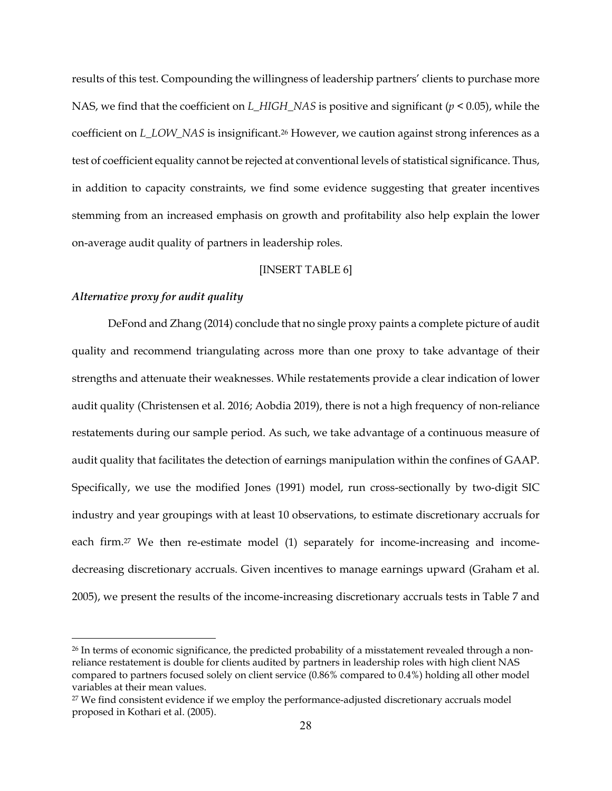results of this test. Compounding the willingness of leadership partners' clients to purchase more NAS, we find that the coefficient on *L\_HIGH\_NAS* is positive and significant (*p* < 0.05), while the coefficient on *L\_LOW\_NAS* is insignificant.26 However, we caution against strong inferences as a test of coefficient equality cannot be rejected at conventional levels of statistical significance. Thus, in addition to capacity constraints, we find some evidence suggesting that greater incentives stemming from an increased emphasis on growth and profitability also help explain the lower on-average audit quality of partners in leadership roles.

## [INSERT TABLE 6]

## *Alternative proxy for audit quality*

 DeFond and Zhang (2014) conclude that no single proxy paints a complete picture of audit quality and recommend triangulating across more than one proxy to take advantage of their strengths and attenuate their weaknesses. While restatements provide a clear indication of lower audit quality (Christensen et al. 2016; Aobdia 2019), there is not a high frequency of non-reliance restatements during our sample period. As such, we take advantage of a continuous measure of audit quality that facilitates the detection of earnings manipulation within the confines of GAAP. Specifically, we use the modified Jones (1991) model, run cross-sectionally by two-digit SIC industry and year groupings with at least 10 observations, to estimate discretionary accruals for each firm.27 We then re-estimate model (1) separately for income-increasing and incomedecreasing discretionary accruals. Given incentives to manage earnings upward (Graham et al. 2005), we present the results of the income-increasing discretionary accruals tests in Table 7 and

<sup>&</sup>lt;sup>26</sup> In terms of economic significance, the predicted probability of a misstatement revealed through a nonreliance restatement is double for clients audited by partners in leadership roles with high client NAS compared to partners focused solely on client service (0.86% compared to 0.4%) holding all other model variables at their mean values.

<sup>&</sup>lt;sup>27</sup> We find consistent evidence if we employ the performance-adjusted discretionary accruals model proposed in Kothari et al. (2005).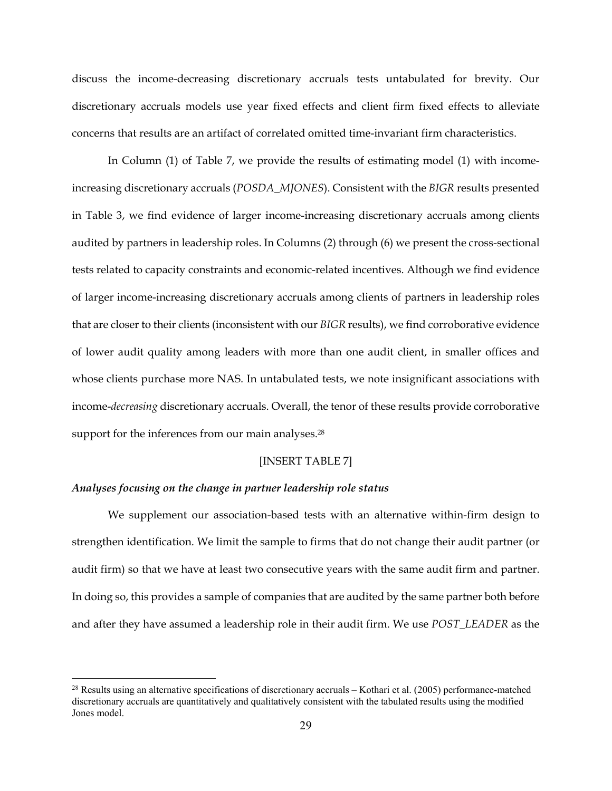discuss the income-decreasing discretionary accruals tests untabulated for brevity. Our discretionary accruals models use year fixed effects and client firm fixed effects to alleviate concerns that results are an artifact of correlated omitted time-invariant firm characteristics.

 In Column (1) of Table 7, we provide the results of estimating model (1) with incomeincreasing discretionary accruals (*POSDA\_MJONES*). Consistent with the *BIGR* results presented in Table 3, we find evidence of larger income-increasing discretionary accruals among clients audited by partners in leadership roles. In Columns (2) through (6) we present the cross-sectional tests related to capacity constraints and economic-related incentives. Although we find evidence of larger income-increasing discretionary accruals among clients of partners in leadership roles that are closer to their clients (inconsistent with our *BIGR* results), we find corroborative evidence of lower audit quality among leaders with more than one audit client, in smaller offices and whose clients purchase more NAS. In untabulated tests, we note insignificant associations with income-*decreasing* discretionary accruals. Overall, the tenor of these results provide corroborative support for the inferences from our main analyses.<sup>28</sup>

### [INSERT TABLE 7]

#### *Analyses focusing on the change in partner leadership role status*

We supplement our association-based tests with an alternative within-firm design to strengthen identification. We limit the sample to firms that do not change their audit partner (or audit firm) so that we have at least two consecutive years with the same audit firm and partner. In doing so, this provides a sample of companies that are audited by the same partner both before and after they have assumed a leadership role in their audit firm. We use *POST\_LEADER* as the

<sup>28</sup> Results using an alternative specifications of discretionary accruals – Kothari et al. (2005) performance-matched discretionary accruals are quantitatively and qualitatively consistent with the tabulated results using the modified Jones model.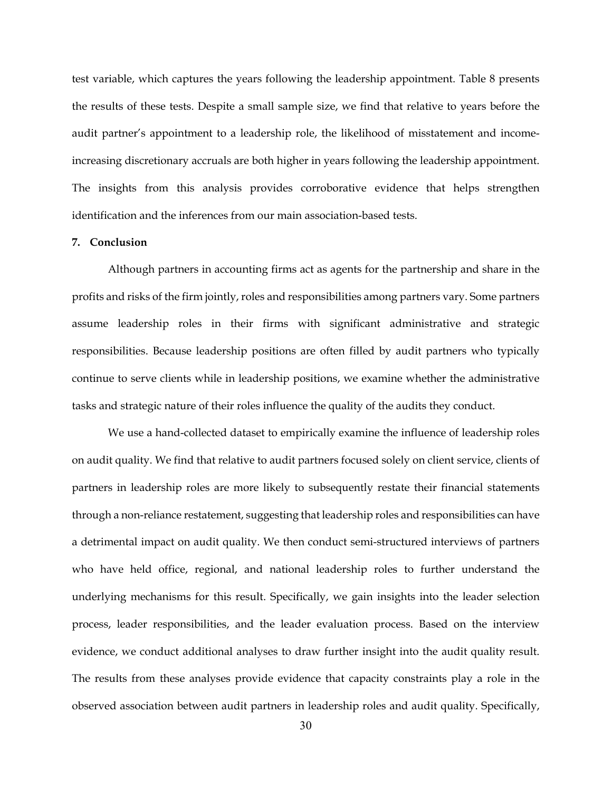test variable, which captures the years following the leadership appointment. Table 8 presents the results of these tests. Despite a small sample size, we find that relative to years before the audit partner's appointment to a leadership role, the likelihood of misstatement and incomeincreasing discretionary accruals are both higher in years following the leadership appointment. The insights from this analysis provides corroborative evidence that helps strengthen identification and the inferences from our main association-based tests.

## **7. Conclusion**

Although partners in accounting firms act as agents for the partnership and share in the profits and risks of the firm jointly, roles and responsibilities among partners vary. Some partners assume leadership roles in their firms with significant administrative and strategic responsibilities. Because leadership positions are often filled by audit partners who typically continue to serve clients while in leadership positions, we examine whether the administrative tasks and strategic nature of their roles influence the quality of the audits they conduct.

We use a hand-collected dataset to empirically examine the influence of leadership roles on audit quality. We find that relative to audit partners focused solely on client service, clients of partners in leadership roles are more likely to subsequently restate their financial statements through a non-reliance restatement, suggesting that leadership roles and responsibilities can have a detrimental impact on audit quality. We then conduct semi-structured interviews of partners who have held office, regional, and national leadership roles to further understand the underlying mechanisms for this result. Specifically, we gain insights into the leader selection process, leader responsibilities, and the leader evaluation process. Based on the interview evidence, we conduct additional analyses to draw further insight into the audit quality result. The results from these analyses provide evidence that capacity constraints play a role in the observed association between audit partners in leadership roles and audit quality. Specifically,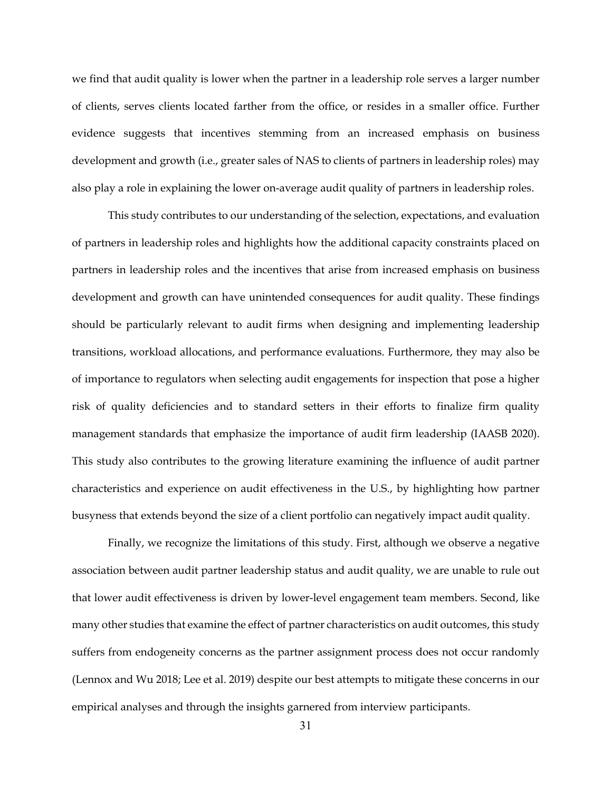we find that audit quality is lower when the partner in a leadership role serves a larger number of clients, serves clients located farther from the office, or resides in a smaller office. Further evidence suggests that incentives stemming from an increased emphasis on business development and growth (i.e., greater sales of NAS to clients of partners in leadership roles) may also play a role in explaining the lower on-average audit quality of partners in leadership roles.

This study contributes to our understanding of the selection, expectations, and evaluation of partners in leadership roles and highlights how the additional capacity constraints placed on partners in leadership roles and the incentives that arise from increased emphasis on business development and growth can have unintended consequences for audit quality. These findings should be particularly relevant to audit firms when designing and implementing leadership transitions, workload allocations, and performance evaluations. Furthermore, they may also be of importance to regulators when selecting audit engagements for inspection that pose a higher risk of quality deficiencies and to standard setters in their efforts to finalize firm quality management standards that emphasize the importance of audit firm leadership (IAASB 2020). This study also contributes to the growing literature examining the influence of audit partner characteristics and experience on audit effectiveness in the U.S., by highlighting how partner busyness that extends beyond the size of a client portfolio can negatively impact audit quality.

Finally, we recognize the limitations of this study. First, although we observe a negative association between audit partner leadership status and audit quality, we are unable to rule out that lower audit effectiveness is driven by lower-level engagement team members. Second, like many other studies that examine the effect of partner characteristics on audit outcomes, this study suffers from endogeneity concerns as the partner assignment process does not occur randomly (Lennox and Wu 2018; Lee et al. 2019) despite our best attempts to mitigate these concerns in our empirical analyses and through the insights garnered from interview participants.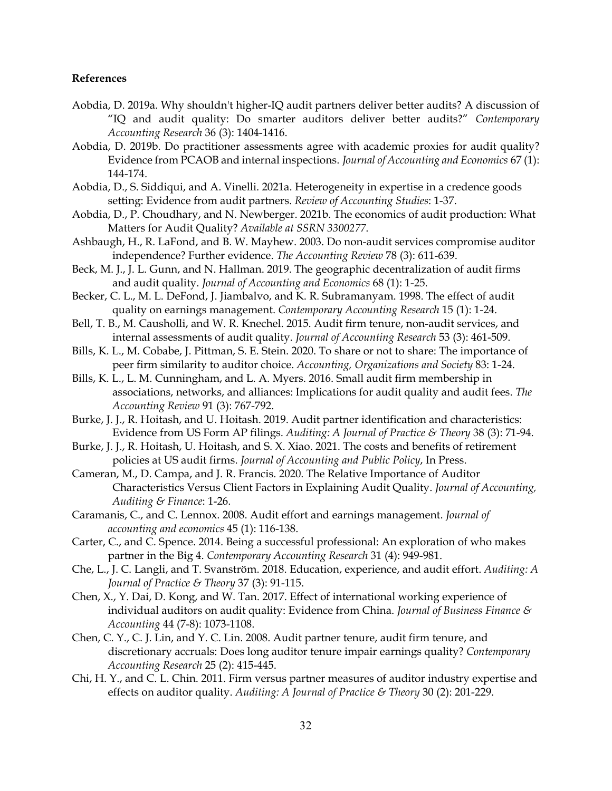#### **References**

- Aobdia, D. 2019a. Why shouldn't higher‐IQ audit partners deliver better audits? A discussion of "IQ and audit quality: Do smarter auditors deliver better audits?" *Contemporary Accounting Research* 36 (3): 1404-1416.
- Aobdia, D. 2019b. Do practitioner assessments agree with academic proxies for audit quality? Evidence from PCAOB and internal inspections. *Journal of Accounting and Economics* 67 (1): 144-174.
- Aobdia, D., S. Siddiqui, and A. Vinelli. 2021a. Heterogeneity in expertise in a credence goods setting: Evidence from audit partners. *Review of Accounting Studies*: 1-37.
- Aobdia, D., P. Choudhary, and N. Newberger. 2021b. The economics of audit production: What Matters for Audit Quality? *Available at SSRN 3300277*.
- Ashbaugh, H., R. LaFond, and B. W. Mayhew. 2003. Do non-audit services compromise auditor independence? Further evidence. *The Accounting Review* 78 (3): 611-639.
- Beck, M. J., J. L. Gunn, and N. Hallman. 2019. The geographic decentralization of audit firms and audit quality. *Journal of Accounting and Economics* 68 (1): 1-25.
- Becker, C. L., M. L. DeFond, J. Jiambalvo, and K. R. Subramanyam. 1998. The effect of audit quality on earnings management. *Contemporary Accounting Research* 15 (1): 1-24.
- Bell, T. B., M. Causholli, and W. R. Knechel. 2015. Audit firm tenure, non-audit services, and internal assessments of audit quality. *Journal of Accounting Research* 53 (3): 461-509.
- Bills, K. L., M. Cobabe, J. Pittman, S. E. Stein. 2020. To share or not to share: The importance of peer firm similarity to auditor choice. *Accounting, Organizations and Society* 83: 1-24.
- Bills, K. L., L. M. Cunningham, and L. A. Myers. 2016. Small audit firm membership in associations, networks, and alliances: Implications for audit quality and audit fees. *The Accounting Review* 91 (3): 767-792.
- Burke, J. J., R. Hoitash, and U. Hoitash. 2019. Audit partner identification and characteristics: Evidence from US Form AP filings. *Auditing: A Journal of Practice & Theory* 38 (3): 71-94.
- Burke, J. J., R. Hoitash, U. Hoitash, and S. X. Xiao. 2021. The costs and benefits of retirement policies at US audit firms. *Journal of Accounting and Public Policy*, In Press.
- Cameran, M., D. Campa, and J. R. Francis. 2020. The Relative Importance of Auditor Characteristics Versus Client Factors in Explaining Audit Quality. *Journal of Accounting, Auditing & Finance*: 1-26.
- Caramanis, C., and C. Lennox. 2008. Audit effort and earnings management. *Journal of accounting and economics* 45 (1): 116-138.
- Carter, C., and C. Spence. 2014. Being a successful professional: An exploration of who makes partner in the Big 4. *Contemporary Accounting Research* 31 (4): 949-981.
- Che, L., J. C. Langli, and T. Svanström. 2018. Education, experience, and audit effort. *Auditing: A Journal of Practice & Theory* 37 (3): 91-115.
- Chen, X., Y. Dai, D. Kong, and W. Tan. 2017. Effect of international working experience of individual auditors on audit quality: Evidence from China. *Journal of Business Finance & Accounting* 44 (7-8): 1073-1108.
- Chen, C. Y., C. J. Lin, and Y. C. Lin. 2008. Audit partner tenure, audit firm tenure, and discretionary accruals: Does long auditor tenure impair earnings quality? *Contemporary Accounting Research* 25 (2): 415-445.
- Chi, H. Y., and C. L. Chin. 2011. Firm versus partner measures of auditor industry expertise and effects on auditor quality. *Auditing: A Journal of Practice & Theory* 30 (2): 201-229.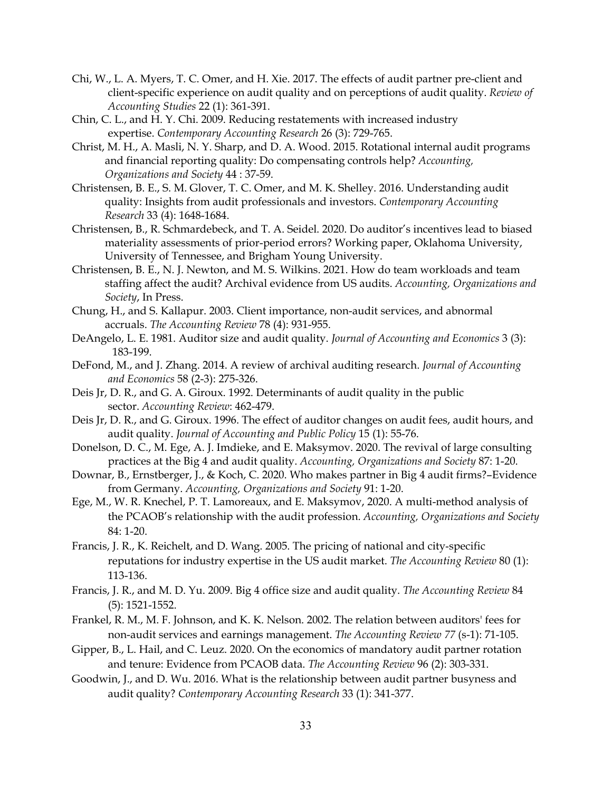- Chi, W., L. A. Myers, T. C. Omer, and H. Xie. 2017. The effects of audit partner pre-client and client-specific experience on audit quality and on perceptions of audit quality. *Review of Accounting Studies* 22 (1): 361-391.
- Chin, C. L., and H. Y. Chi. 2009. Reducing restatements with increased industry expertise. *Contemporary Accounting Research* 26 (3): 729-765.
- Christ, M. H., A. Masli, N. Y. Sharp, and D. A. Wood. 2015. Rotational internal audit programs and financial reporting quality: Do compensating controls help? *Accounting, Organizations and Society* 44 : 37-59.
- Christensen, B. E., S. M. Glover, T. C. Omer, and M. K. Shelley. 2016. Understanding audit quality: Insights from audit professionals and investors. *Contemporary Accounting Research* 33 (4): 1648-1684.
- Christensen, B., R. Schmardebeck, and T. A. Seidel. 2020. Do auditor's incentives lead to biased materiality assessments of prior-period errors? Working paper, Oklahoma University, University of Tennessee, and Brigham Young University.
- Christensen, B. E., N. J. Newton, and M. S. Wilkins. 2021. How do team workloads and team staffing affect the audit? Archival evidence from US audits. *Accounting, Organizations and Society*, In Press.
- Chung, H., and S. Kallapur. 2003. Client importance, non-audit services, and abnormal accruals. *The Accounting Review* 78 (4): 931-955.
- DeAngelo, L. E. 1981. Auditor size and audit quality. *Journal of Accounting and Economics* 3 (3): 183-199.
- DeFond, M., and J. Zhang. 2014. A review of archival auditing research. *Journal of Accounting and Economics* 58 (2-3): 275-326.
- Deis Jr, D. R., and G. A. Giroux. 1992. Determinants of audit quality in the public sector. *Accounting Review*: 462-479.
- Deis Jr, D. R., and G. Giroux. 1996. The effect of auditor changes on audit fees, audit hours, and audit quality. *Journal of Accounting and Public Policy* 15 (1): 55-76.
- Donelson, D. C., M. Ege, A. J. Imdieke, and E. Maksymov. 2020. The revival of large consulting practices at the Big 4 and audit quality. *Accounting, Organizations and Society* 87: 1-20.
- Downar, B., Ernstberger, J., & Koch, C. 2020. Who makes partner in Big 4 audit firms?–Evidence from Germany. *Accounting, Organizations and Society* 91: 1-20.
- Ege, M., W. R. Knechel, P. T. Lamoreaux, and E. Maksymov, 2020. A multi-method analysis of the PCAOB's relationship with the audit profession. *Accounting, Organizations and Society* 84: 1-20.
- Francis, J. R., K. Reichelt, and D. Wang. 2005. The pricing of national and city-specific reputations for industry expertise in the US audit market. *The Accounting Review* 80 (1): 113-136.
- Francis, J. R., and M. D. Yu. 2009. Big 4 office size and audit quality. *The Accounting Review* 84 (5): 1521-1552.
- Frankel, R. M., M. F. Johnson, and K. K. Nelson. 2002. The relation between auditors' fees for non-audit services and earnings management. *The Accounting Review 77* (s-1): 71-105.
- Gipper, B., L. Hail, and C. Leuz. 2020. On the economics of mandatory audit partner rotation and tenure: Evidence from PCAOB data. *The Accounting Review* 96 (2): 303-331.
- Goodwin, J., and D. Wu. 2016. What is the relationship between audit partner busyness and audit quality? *Contemporary Accounting Research* 33 (1): 341-377.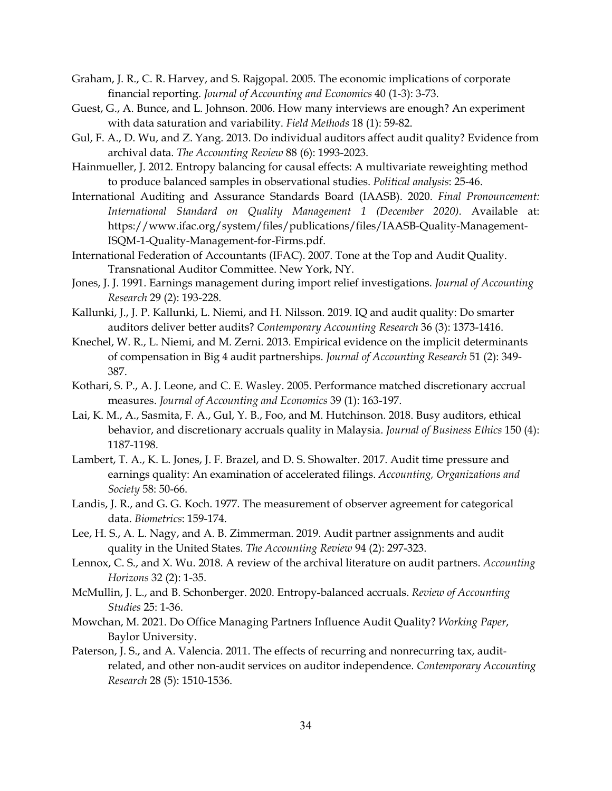- Graham, J. R., C. R. Harvey, and S. Rajgopal. 2005. The economic implications of corporate financial reporting. *Journal of Accounting and Economics* 40 (1-3): 3-73.
- Guest, G., A. Bunce, and L. Johnson. 2006. How many interviews are enough? An experiment with data saturation and variability. *Field Methods* 18 (1): 59-82.
- Gul, F. A., D. Wu, and Z. Yang. 2013. Do individual auditors affect audit quality? Evidence from archival data. *The Accounting Review* 88 (6): 1993-2023.
- Hainmueller, J. 2012. Entropy balancing for causal effects: A multivariate reweighting method to produce balanced samples in observational studies. *Political analysis*: 25-46.
- International Auditing and Assurance Standards Board (IAASB). 2020. *Final Pronouncement: International Standard on Quality Management 1 (December 2020)*. Available at: https://www.ifac.org/system/files/publications/files/IAASB-Quality-Management-ISQM-1-Quality-Management-for-Firms.pdf.
- International Federation of Accountants (IFAC). 2007. Tone at the Top and Audit Quality. Transnational Auditor Committee. New York, NY.
- Jones, J. J. 1991. Earnings management during import relief investigations. *Journal of Accounting Research* 29 (2): 193-228.
- Kallunki, J., J. P. Kallunki, L. Niemi, and H. Nilsson. 2019. IQ and audit quality: Do smarter auditors deliver better audits? *Contemporary Accounting Research* 36 (3): 1373-1416.
- Knechel, W. R., L. Niemi, and M. Zerni. 2013. Empirical evidence on the implicit determinants of compensation in Big 4 audit partnerships. *Journal of Accounting Research* 51 (2): 349- 387.
- Kothari, S. P., A. J. Leone, and C. E. Wasley. 2005. Performance matched discretionary accrual measures. *Journal of Accounting and Economics* 39 (1): 163-197.
- Lai, K. M., A., Sasmita, F. A., Gul, Y. B., Foo, and M. Hutchinson. 2018. Busy auditors, ethical behavior, and discretionary accruals quality in Malaysia. *Journal of Business Ethics* 150 (4): 1187-1198.
- Lambert, T. A., K. L. Jones, J. F. Brazel, and D. S. Showalter. 2017. Audit time pressure and earnings quality: An examination of accelerated filings. *Accounting, Organizations and Society* 58: 50-66.
- Landis, J. R., and G. G. Koch. 1977. The measurement of observer agreement for categorical data. *Biometrics*: 159-174.
- Lee, H. S., A. L. Nagy, and A. B. Zimmerman. 2019. Audit partner assignments and audit quality in the United States. *The Accounting Review* 94 (2): 297-323.
- Lennox, C. S., and X. Wu. 2018. A review of the archival literature on audit partners. *Accounting Horizons* 32 (2): 1-35.
- McMullin, J. L., and B. Schonberger. 2020. Entropy-balanced accruals. *Review of Accounting Studies* 25: 1-36.
- Mowchan, M. 2021. Do Office Managing Partners Influence Audit Quality? *Working Paper*, Baylor University.
- Paterson, J. S., and A. Valencia. 2011. The effects of recurring and nonrecurring tax, auditrelated, and other non-audit services on auditor independence. *Contemporary Accounting Research* 28 (5): 1510-1536.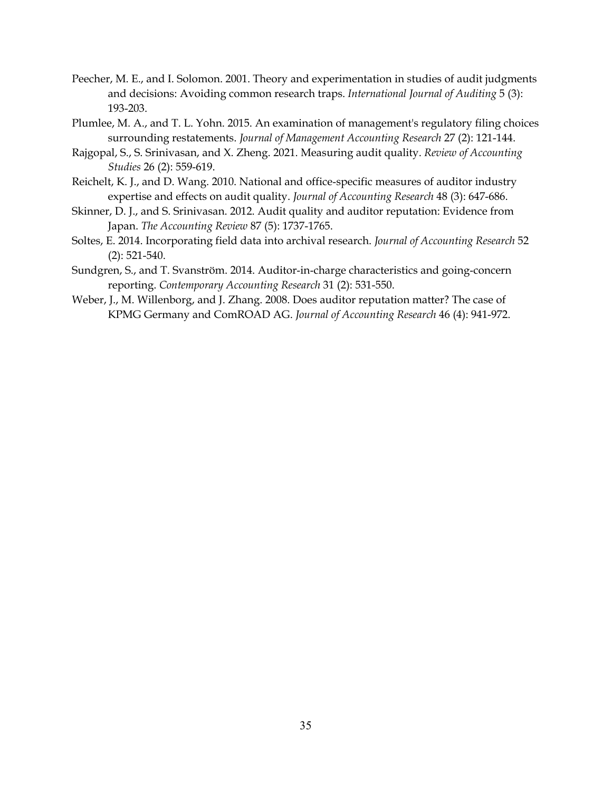- Peecher, M. E., and I. Solomon. 2001. Theory and experimentation in studies of audit judgments and decisions: Avoiding common research traps. *International Journal of Auditing* 5 (3): 193-203.
- Plumlee, M. A., and T. L. Yohn. 2015. An examination of management's regulatory filing choices surrounding restatements. *Journal of Management Accounting Research* 27 (2): 121-144.
- Rajgopal, S., S. Srinivasan, and X. Zheng. 2021. Measuring audit quality. *Review of Accounting Studies* 26 (2): 559-619.
- Reichelt, K. J., and D. Wang. 2010. National and office-specific measures of auditor industry expertise and effects on audit quality. *Journal of Accounting Research* 48 (3): 647-686.
- Skinner, D. J., and S. Srinivasan. 2012. Audit quality and auditor reputation: Evidence from Japan. *The Accounting Review* 87 (5): 1737-1765.
- Soltes, E. 2014. Incorporating field data into archival research. *Journal of Accounting Research* 52 (2): 521-540.
- Sundgren, S., and T. Svanström. 2014. Auditor‐in‐charge characteristics and going‐concern reporting. *Contemporary Accounting Research* 31 (2): 531-550.
- Weber, J., M. Willenborg, and J. Zhang. 2008. Does auditor reputation matter? The case of KPMG Germany and ComROAD AG. *Journal of Accounting Research* 46 (4): 941-972.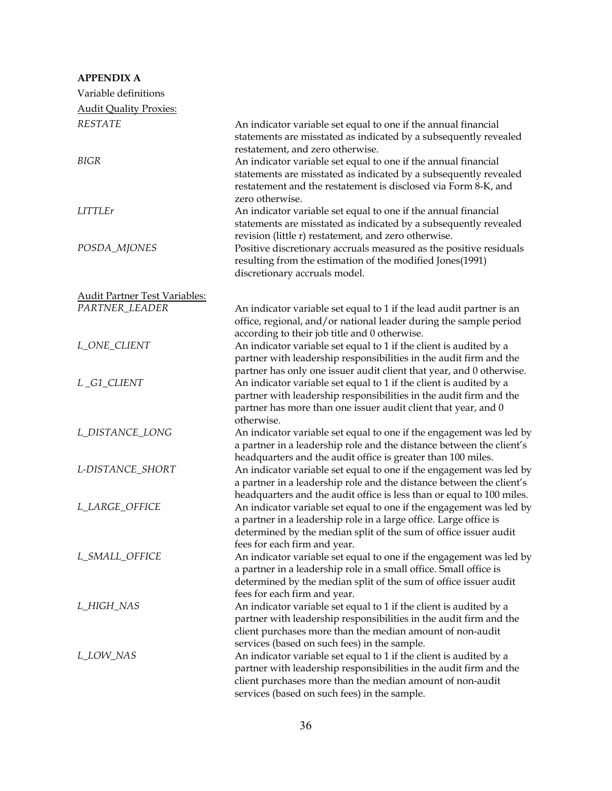| <b>APPENDIX A</b>                    |                                                                                                                                                                                                                                                       |
|--------------------------------------|-------------------------------------------------------------------------------------------------------------------------------------------------------------------------------------------------------------------------------------------------------|
| Variable definitions                 |                                                                                                                                                                                                                                                       |
| <b>Audit Quality Proxies:</b>        |                                                                                                                                                                                                                                                       |
| <b>RESTATE</b>                       | An indicator variable set equal to one if the annual financial<br>statements are misstated as indicated by a subsequently revealed<br>restatement, and zero otherwise.                                                                                |
| <b>BIGR</b>                          | An indicator variable set equal to one if the annual financial<br>statements are misstated as indicated by a subsequently revealed<br>restatement and the restatement is disclosed via Form 8-K, and<br>zero otherwise.                               |
| <b>LITTLEr</b>                       | An indicator variable set equal to one if the annual financial<br>statements are misstated as indicated by a subsequently revealed<br>revision (little r) restatement, and zero otherwise.                                                            |
| POSDA_MJONES                         | Positive discretionary accruals measured as the positive residuals<br>resulting from the estimation of the modified Jones(1991)<br>discretionary accruals model.                                                                                      |
| <b>Audit Partner Test Variables:</b> |                                                                                                                                                                                                                                                       |
| PARTNER_LEADER                       | An indicator variable set equal to 1 if the lead audit partner is an<br>office, regional, and/or national leader during the sample period<br>according to their job title and 0 otherwise.                                                            |
| L_ONE_CLIENT                         | An indicator variable set equal to 1 if the client is audited by a<br>partner with leadership responsibilities in the audit firm and the<br>partner has only one issuer audit client that year, and 0 otherwise.                                      |
| L_G1_CLIENT                          | An indicator variable set equal to 1 if the client is audited by a<br>partner with leadership responsibilities in the audit firm and the<br>partner has more than one issuer audit client that year, and 0<br>otherwise.                              |
| L_DISTANCE_LONG                      | An indicator variable set equal to one if the engagement was led by<br>a partner in a leadership role and the distance between the client's<br>headquarters and the audit office is greater than 100 miles.                                           |
| L-DISTANCE_SHORT                     | An indicator variable set equal to one if the engagement was led by<br>a partner in a leadership role and the distance between the client's<br>headquarters and the audit office is less than or equal to 100 miles.                                  |
| L_LARGE_OFFICE                       | An indicator variable set equal to one if the engagement was led by<br>a partner in a leadership role in a large office. Large office is<br>determined by the median split of the sum of office issuer audit<br>fees for each firm and year.          |
| L_SMALL_OFFICE                       | An indicator variable set equal to one if the engagement was led by<br>a partner in a leadership role in a small office. Small office is<br>determined by the median split of the sum of office issuer audit<br>fees for each firm and year.          |
| L_HIGH_NAS                           | An indicator variable set equal to 1 if the client is audited by a<br>partner with leadership responsibilities in the audit firm and the<br>client purchases more than the median amount of non-audit<br>services (based on such fees) in the sample. |
| L_LOW_NAS                            | An indicator variable set equal to 1 if the client is audited by a<br>partner with leadership responsibilities in the audit firm and the<br>client purchases more than the median amount of non-audit<br>services (based on such fees) in the sample. |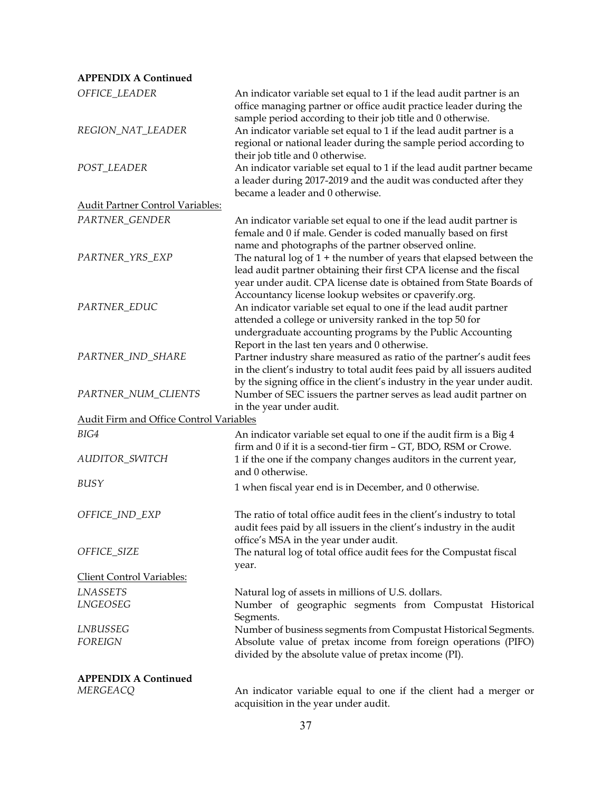### **APPENDIX A Continued**

| OFFICE_LEADER                                  | An indicator variable set equal to 1 if the lead audit partner is an<br>office managing partner or office audit practice leader during the                                                                                                                                    |
|------------------------------------------------|-------------------------------------------------------------------------------------------------------------------------------------------------------------------------------------------------------------------------------------------------------------------------------|
| REGION_NAT_LEADER                              | sample period according to their job title and 0 otherwise.<br>An indicator variable set equal to 1 if the lead audit partner is a<br>regional or national leader during the sample period according to                                                                       |
| POST_LEADER                                    | their job title and 0 otherwise.<br>An indicator variable set equal to 1 if the lead audit partner became<br>a leader during 2017-2019 and the audit was conducted after they<br>became a leader and 0 otherwise.                                                             |
| <b>Audit Partner Control Variables:</b>        |                                                                                                                                                                                                                                                                               |
| PARTNER_GENDER                                 | An indicator variable set equal to one if the lead audit partner is<br>female and 0 if male. Gender is coded manually based on first                                                                                                                                          |
| PARTNER_YRS_EXP                                | name and photographs of the partner observed online.<br>The natural $log$ of $1 +$ the number of years that elapsed between the<br>lead audit partner obtaining their first CPA license and the fiscal<br>year under audit. CPA license date is obtained from State Boards of |
| PARTNER_EDUC                                   | Accountancy license lookup websites or cpaverify.org.<br>An indicator variable set equal to one if the lead audit partner<br>attended a college or university ranked in the top 50 for<br>undergraduate accounting programs by the Public Accounting                          |
| PARTNER_IND_SHARE                              | Report in the last ten years and 0 otherwise.<br>Partner industry share measured as ratio of the partner's audit fees<br>in the client's industry to total audit fees paid by all issuers audited<br>by the signing office in the client's industry in the year under audit.  |
| PARTNER_NUM_CLIENTS                            | Number of SEC issuers the partner serves as lead audit partner on<br>in the year under audit.                                                                                                                                                                                 |
| <b>Audit Firm and Office Control Variables</b> |                                                                                                                                                                                                                                                                               |
| BIG4<br>AUDITOR_SWITCH                         | An indicator variable set equal to one if the audit firm is a Big 4<br>firm and 0 if it is a second-tier firm - GT, BDO, RSM or Crowe.                                                                                                                                        |
|                                                | 1 if the one if the company changes auditors in the current year,<br>and 0 otherwise.                                                                                                                                                                                         |
| BUSY                                           | 1 when fiscal year end is in December, and 0 otherwise.                                                                                                                                                                                                                       |
| OFFICE_IND_EXP                                 | The ratio of total office audit fees in the client's industry to total<br>audit fees paid by all issuers in the client's industry in the audit<br>office's MSA in the year under audit.                                                                                       |
| OFFICE_SIZE                                    | The natural log of total office audit fees for the Compustat fiscal<br>year.                                                                                                                                                                                                  |
| <u>Client Control Variables:</u>               |                                                                                                                                                                                                                                                                               |
| <b>LNASSETS</b>                                | Natural log of assets in millions of U.S. dollars.                                                                                                                                                                                                                            |
| LNGEOSEG                                       | Number of geographic segments from Compustat Historical<br>Segments.                                                                                                                                                                                                          |
| LNBUSSEG                                       | Number of business segments from Compustat Historical Segments.                                                                                                                                                                                                               |
| <b>FOREIGN</b>                                 | Absolute value of pretax income from foreign operations (PIFO)<br>divided by the absolute value of pretax income (PI).                                                                                                                                                        |
| <b>APPENDIX A Continued</b>                    |                                                                                                                                                                                                                                                                               |
| MERGEACQ                                       | An indicator variable equal to one if the client had a merger or<br>acquisition in the year under audit.                                                                                                                                                                      |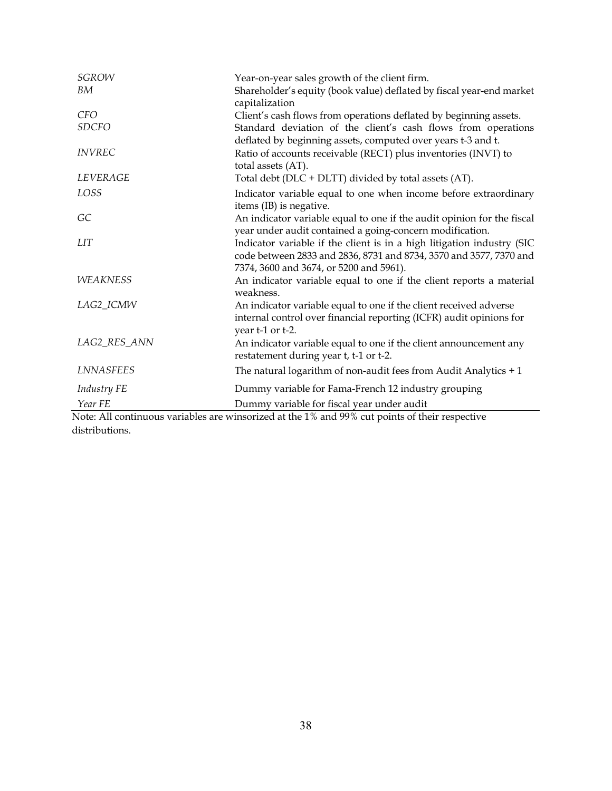| <b>SGROW</b>                          | Year-on-year sales growth of the client firm.                                                                                                                                                                                                                                                                                                                   |
|---------------------------------------|-----------------------------------------------------------------------------------------------------------------------------------------------------------------------------------------------------------------------------------------------------------------------------------------------------------------------------------------------------------------|
| BM                                    | Shareholder's equity (book value) deflated by fiscal year-end market<br>capitalization                                                                                                                                                                                                                                                                          |
| <b>CFO</b>                            | Client's cash flows from operations deflated by beginning assets.                                                                                                                                                                                                                                                                                               |
| <b>SDCFO</b>                          | Standard deviation of the client's cash flows from operations<br>deflated by beginning assets, computed over years t-3 and t.                                                                                                                                                                                                                                   |
| <b>INVREC</b>                         | Ratio of accounts receivable (RECT) plus inventories (INVT) to<br>total assets (AT).                                                                                                                                                                                                                                                                            |
| LEVERAGE                              | Total debt (DLC + DLTT) divided by total assets (AT).                                                                                                                                                                                                                                                                                                           |
| LOSS                                  | Indicator variable equal to one when income before extraordinary<br>items (IB) is negative.                                                                                                                                                                                                                                                                     |
| GC                                    | An indicator variable equal to one if the audit opinion for the fiscal<br>year under audit contained a going-concern modification.                                                                                                                                                                                                                              |
| <b>LIT</b>                            | Indicator variable if the client is in a high litigation industry (SIC<br>code between 2833 and 2836, 8731 and 8734, 3570 and 3577, 7370 and<br>7374, 3600 and 3674, or 5200 and 5961).                                                                                                                                                                         |
| <b>WEAKNESS</b>                       | An indicator variable equal to one if the client reports a material<br>weakness.                                                                                                                                                                                                                                                                                |
| LAG2_ICMW                             | An indicator variable equal to one if the client received adverse<br>internal control over financial reporting (ICFR) audit opinions for<br>year t-1 or t-2.                                                                                                                                                                                                    |
| LAG2_RES_ANN                          | An indicator variable equal to one if the client announcement any<br>restatement during year t, t-1 or t-2.                                                                                                                                                                                                                                                     |
| <b>LNNASFEES</b>                      | The natural logarithm of non-audit fees from Audit Analytics $+1$                                                                                                                                                                                                                                                                                               |
| <b>Industry FE</b>                    | Dummy variable for Fama-French 12 industry grouping                                                                                                                                                                                                                                                                                                             |
| Year FE<br>$-11$<br>$\tau$ and $\tau$ | Dummy variable for fiscal year under audit<br>$\ddot{1}$ $\ddot{1}$ $\ddot{1}$ $\ddot{1}$ $\ddot{1}$ $\ddot{1}$ $\ddot{1}$ $\ddot{1}$ $\ddot{1}$ $\ddot{1}$ $\ddot{1}$ $\ddot{1}$ $\ddot{1}$ $\ddot{1}$ $\ddot{1}$ $\ddot{1}$ $\ddot{1}$ $\ddot{1}$ $\ddot{1}$ $\ddot{1}$ $\ddot{1}$ $\ddot{1}$ $\ddot{1}$ $\ddot{1}$ $\ddot{$<br>and the state of the state of |

Note: All continuous variables are winsorized at the 1% and 99% cut points of their respective distributions.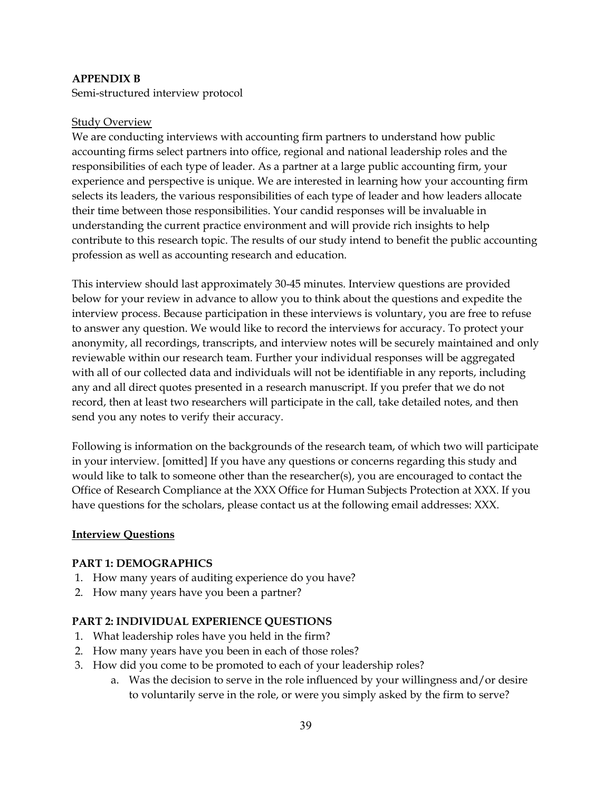## **APPENDIX B**

Semi-structured interview protocol

### Study Overview

We are conducting interviews with accounting firm partners to understand how public accounting firms select partners into office, regional and national leadership roles and the responsibilities of each type of leader. As a partner at a large public accounting firm, your experience and perspective is unique. We are interested in learning how your accounting firm selects its leaders, the various responsibilities of each type of leader and how leaders allocate their time between those responsibilities. Your candid responses will be invaluable in understanding the current practice environment and will provide rich insights to help contribute to this research topic. The results of our study intend to benefit the public accounting profession as well as accounting research and education.

This interview should last approximately 30-45 minutes. Interview questions are provided below for your review in advance to allow you to think about the questions and expedite the interview process. Because participation in these interviews is voluntary, you are free to refuse to answer any question. We would like to record the interviews for accuracy. To protect your anonymity, all recordings, transcripts, and interview notes will be securely maintained and only reviewable within our research team. Further your individual responses will be aggregated with all of our collected data and individuals will not be identifiable in any reports, including any and all direct quotes presented in a research manuscript. If you prefer that we do not record, then at least two researchers will participate in the call, take detailed notes, and then send you any notes to verify their accuracy.

Following is information on the backgrounds of the research team, of which two will participate in your interview. [omitted] If you have any questions or concerns regarding this study and would like to talk to someone other than the researcher(s), you are encouraged to contact the Office of Research Compliance at the XXX Office for Human Subjects Protection at XXX. If you have questions for the scholars, please contact us at the following email addresses: XXX.

#### **Interview Questions**

## **PART 1: DEMOGRAPHICS**

- 1. How many years of auditing experience do you have?
- 2. How many years have you been a partner?

#### **PART 2: INDIVIDUAL EXPERIENCE QUESTIONS**

- 1. What leadership roles have you held in the firm?
- 2. How many years have you been in each of those roles?
- 3. How did you come to be promoted to each of your leadership roles?
	- a. Was the decision to serve in the role influenced by your willingness and/or desire to voluntarily serve in the role, or were you simply asked by the firm to serve?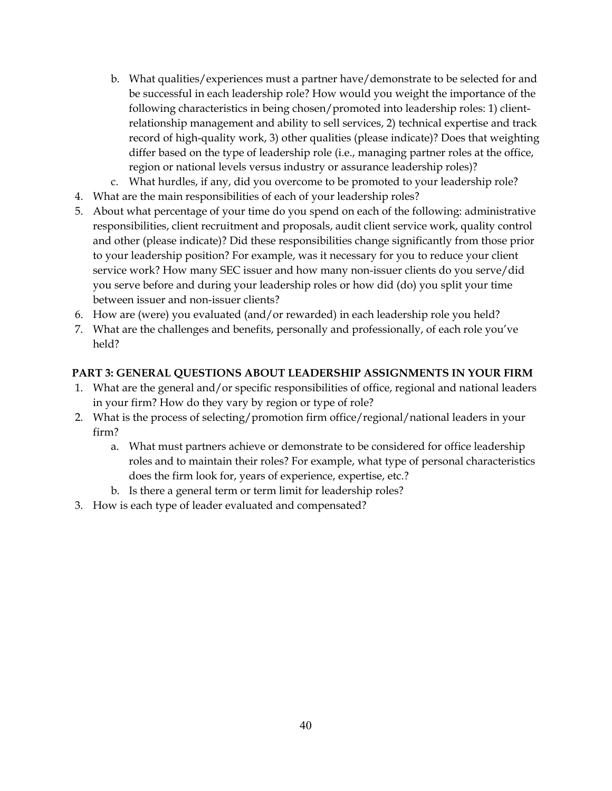- b. What qualities/experiences must a partner have/demonstrate to be selected for and be successful in each leadership role? How would you weight the importance of the following characteristics in being chosen/promoted into leadership roles: 1) clientrelationship management and ability to sell services, 2) technical expertise and track record of high-quality work, 3) other qualities (please indicate)? Does that weighting differ based on the type of leadership role (i.e., managing partner roles at the office, region or national levels versus industry or assurance leadership roles)?
- c. What hurdles, if any, did you overcome to be promoted to your leadership role?
- 4. What are the main responsibilities of each of your leadership roles?
- 5. About what percentage of your time do you spend on each of the following: administrative responsibilities, client recruitment and proposals, audit client service work, quality control and other (please indicate)? Did these responsibilities change significantly from those prior to your leadership position? For example, was it necessary for you to reduce your client service work? How many SEC issuer and how many non-issuer clients do you serve/did you serve before and during your leadership roles or how did (do) you split your time between issuer and non-issuer clients?
- 6. How are (were) you evaluated (and/or rewarded) in each leadership role you held?
- 7. What are the challenges and benefits, personally and professionally, of each role you've held?

# **PART 3: GENERAL QUESTIONS ABOUT LEADERSHIP ASSIGNMENTS IN YOUR FIRM**

- 1. What are the general and/or specific responsibilities of office, regional and national leaders in your firm? How do they vary by region or type of role?
- 2. What is the process of selecting/promotion firm office/regional/national leaders in your firm?
	- a. What must partners achieve or demonstrate to be considered for office leadership roles and to maintain their roles? For example, what type of personal characteristics does the firm look for, years of experience, expertise, etc.?
	- b. Is there a general term or term limit for leadership roles?
- 3. How is each type of leader evaluated and compensated?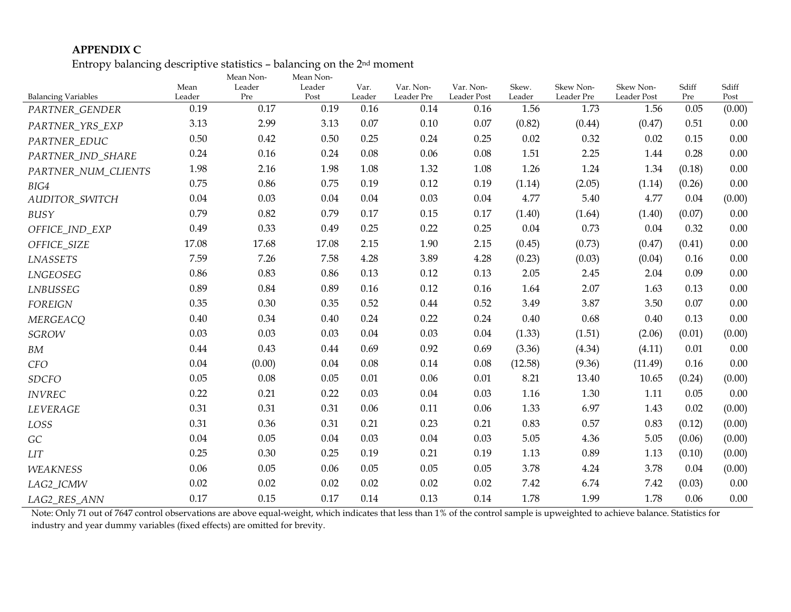## **APPENDIX C**

Entropy balancing descriptive statistics – balancing on the 2nd moment

|                            | Mean   | Mean Non-<br>Leader | Mean Non-<br>Leader | Var.     | Var. Non-  | Var. Non-   | Skew.    | Skew Non-  | Skew Non-   | Sdiff  | Sdiff    |
|----------------------------|--------|---------------------|---------------------|----------|------------|-------------|----------|------------|-------------|--------|----------|
| <b>Balancing Variables</b> | Leader | Pre                 | Post                | Leader   | Leader Pre | Leader Post | Leader   | Leader Pre | Leader Post | Pre    | Post     |
| PARTNER_GENDER             | 0.19   | 0.17                | 0.19                | 0.16     | 0.14       | 0.16        | 1.56     | 1.73       | 1.56        | 0.05   | (0.00)   |
| PARTNER_YRS_EXP            | 3.13   | 2.99                | 3.13                | 0.07     | 0.10       | 0.07        | (0.82)   | (0.44)     | (0.47)      | 0.51   | 0.00     |
| PARTNER EDUC               | 0.50   | 0.42                | 0.50                | 0.25     | 0.24       | 0.25        | 0.02     | 0.32       | 0.02        | 0.15   | $0.00\,$ |
| PARTNER_IND_SHARE          | 0.24   | 0.16                | 0.24                | 0.08     | 0.06       | 0.08        | 1.51     | 2.25       | 1.44        | 0.28   | 0.00     |
| PARTNER_NUM_CLIENTS        | 1.98   | 2.16                | 1.98                | 1.08     | 1.32       | 1.08        | 1.26     | 1.24       | 1.34        | (0.18) | 0.00     |
| BIG4                       | 0.75   | 0.86                | 0.75                | 0.19     | 0.12       | 0.19        | (1.14)   | (2.05)     | (1.14)      | (0.26) | 0.00     |
| <b>AUDITOR SWITCH</b>      | 0.04   | 0.03                | 0.04                | $0.04\,$ | 0.03       | 0.04        | 4.77     | 5.40       | 4.77        | 0.04   | (0.00)   |
| BUSY                       | 0.79   | 0.82                | 0.79                | 0.17     | 0.15       | 0.17        | (1.40)   | (1.64)     | (1.40)      | (0.07) | 0.00     |
| OFFICE_IND_EXP             | 0.49   | 0.33                | 0.49                | 0.25     | 0.22       | 0.25        | $0.04\,$ | 0.73       | 0.04        | 0.32   | 0.00     |
| OFFICE SIZE                | 17.08  | 17.68               | 17.08               | 2.15     | 1.90       | 2.15        | (0.45)   | (0.73)     | (0.47)      | (0.41) | 0.00     |
| <b>LNASSETS</b>            | 7.59   | 7.26                | 7.58                | 4.28     | 3.89       | 4.28        | (0.23)   | (0.03)     | (0.04)      | 0.16   | 0.00     |
| LNGEOSEG                   | 0.86   | 0.83                | 0.86                | 0.13     | 0.12       | 0.13        | 2.05     | 2.45       | 2.04        | 0.09   | 0.00     |
| LNBUSSEG                   | 0.89   | 0.84                | 0.89                | 0.16     | 0.12       | 0.16        | 1.64     | 2.07       | 1.63        | 0.13   | 0.00     |
| <b>FOREIGN</b>             | 0.35   | 0.30                | 0.35                | 0.52     | 0.44       | 0.52        | 3.49     | 3.87       | 3.50        | 0.07   | 0.00     |
| <b>MERGEACQ</b>            | 0.40   | 0.34                | 0.40                | 0.24     | 0.22       | 0.24        | 0.40     | 0.68       | 0.40        | 0.13   | 0.00     |
| <b>SGROW</b>               | 0.03   | 0.03                | 0.03                | 0.04     | 0.03       | 0.04        | (1.33)   | (1.51)     | (2.06)      | (0.01) | (0.00)   |
| BM                         | 0.44   | 0.43                | 0.44                | 0.69     | 0.92       | 0.69        | (3.36)   | (4.34)     | (4.11)      | 0.01   | 0.00     |
| <b>CFO</b>                 | 0.04   | (0.00)              | 0.04                | 0.08     | 0.14       | 0.08        | (12.58)  | (9.36)     | (11.49)     | 0.16   | 0.00     |
| <b>SDCFO</b>               | 0.05   | 0.08                | 0.05                | 0.01     | 0.06       | $0.01\,$    | 8.21     | 13.40      | 10.65       | (0.24) | (0.00)   |
| <b>INVREC</b>              | 0.22   | 0.21                | 0.22                | 0.03     | 0.04       | 0.03        | 1.16     | 1.30       | 1.11        | 0.05   | 0.00     |
| LEVERAGE                   | 0.31   | 0.31                | 0.31                | 0.06     | 0.11       | 0.06        | 1.33     | 6.97       | 1.43        | 0.02   | (0.00)   |
| LOSS                       | 0.31   | 0.36                | 0.31                | 0.21     | 0.23       | 0.21        | 0.83     | 0.57       | 0.83        | (0.12) | (0.00)   |
| GC                         | 0.04   | 0.05                | 0.04                | 0.03     | 0.04       | 0.03        | 5.05     | 4.36       | 5.05        | (0.06) | (0.00)   |
| <b>LIT</b>                 | 0.25   | 0.30                | 0.25                | 0.19     | 0.21       | 0.19        | 1.13     | 0.89       | 1.13        | (0.10) | (0.00)   |
| <b>WEAKNESS</b>            | 0.06   | 0.05                | 0.06                | 0.05     | 0.05       | 0.05        | 3.78     | 4.24       | 3.78        | 0.04   | (0.00)   |
| LAG2 ICMW                  | 0.02   | 0.02                | 0.02                | 0.02     | 0.02       | 0.02        | 7.42     | 6.74       | 7.42        | (0.03) | 0.00     |
| LAG2_RES_ANN               | 0.17   | 0.15                | 0.17                | 0.14     | 0.13       | 0.14        | 1.78     | 1.99       | 1.78        | 0.06   | 0.00     |

Note: Only 71 out of 7647 control observations are above equal-weight, which indicates that less than 1% of the control sample is upweighted to achieve balance. Statistics for industry and year dummy variables (fixed effects) are omitted for brevity.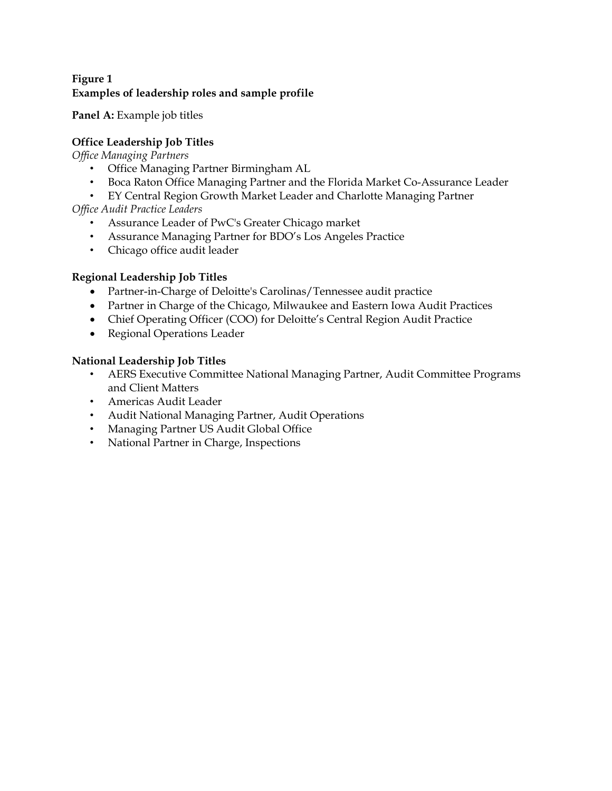## **Figure 1 Examples of leadership roles and sample profile**

Panel A: Example job titles

# **Office Leadership Job Titles**

*Office Managing Partners* 

- Office Managing Partner Birmingham AL
- Boca Raton Office Managing Partner and the Florida Market Co-Assurance Leader
- EY Central Region Growth Market Leader and Charlotte Managing Partner

*Office Audit Practice Leaders* 

- Assurance Leader of PwC's Greater Chicago market
- Assurance Managing Partner for BDO's Los Angeles Practice
- Chicago office audit leader

# **Regional Leadership Job Titles**

- Partner-in-Charge of Deloitte's Carolinas/Tennessee audit practice
- Partner in Charge of the Chicago, Milwaukee and Eastern Iowa Audit Practices
- Chief Operating Officer (COO) for Deloitte's Central Region Audit Practice
- Regional Operations Leader

# **National Leadership Job Titles**

- AERS Executive Committee National Managing Partner, Audit Committee Programs and Client Matters
- Americas Audit Leader
- Audit National Managing Partner, Audit Operations
- Managing Partner US Audit Global Office
- National Partner in Charge, Inspections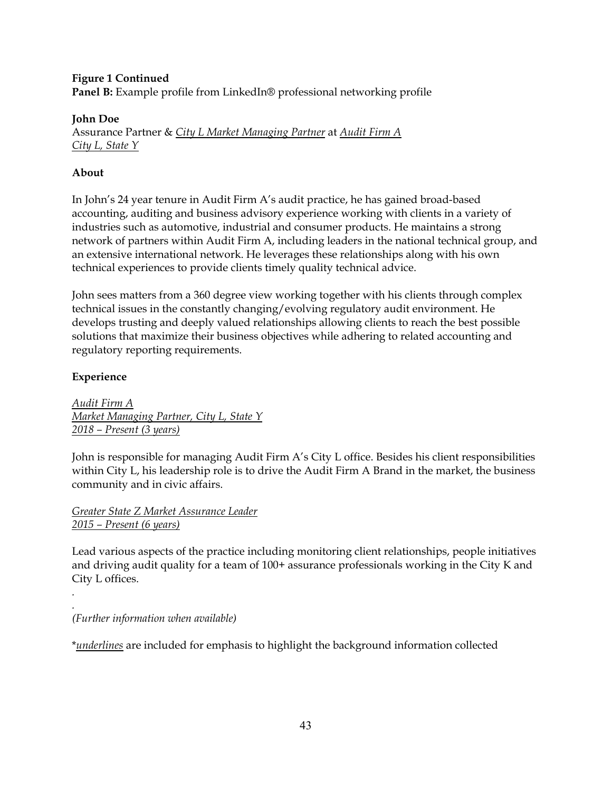## **Figure 1 Continued Panel B:** Example profile from LinkedIn® professional networking profile

## **John Doe**

Assurance Partner & *City L Market Managing Partner* at *Audit Firm A City L, State Y* 

# **About**

In John's 24 year tenure in Audit Firm A's audit practice, he has gained broad-based accounting, auditing and business advisory experience working with clients in a variety of industries such as automotive, industrial and consumer products. He maintains a strong network of partners within Audit Firm A, including leaders in the national technical group, and an extensive international network. He leverages these relationships along with his own technical experiences to provide clients timely quality technical advice.

John sees matters from a 360 degree view working together with his clients through complex technical issues in the constantly changing/evolving regulatory audit environment. He develops trusting and deeply valued relationships allowing clients to reach the best possible solutions that maximize their business objectives while adhering to related accounting and regulatory reporting requirements.

# **Experience**

*.* 

*Audit Firm A Market Managing Partner, City L, State Y 2018 – Present (3 years)* 

John is responsible for managing Audit Firm A's City L office. Besides his client responsibilities within City L, his leadership role is to drive the Audit Firm A Brand in the market, the business community and in civic affairs.

*Greater State Z Market Assurance Leader 2015 – Present (6 years)* 

Lead various aspects of the practice including monitoring client relationships, people initiatives and driving audit quality for a team of 100+ assurance professionals working in the City K and City L offices.

*. (Further information when available)* 

\**underlines* are included for emphasis to highlight the background information collected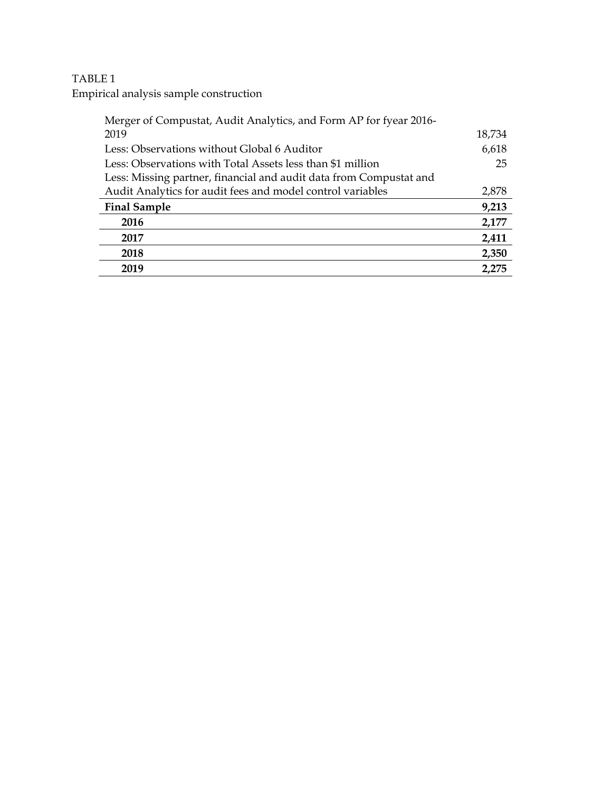# TABLE 1

Empirical analysis sample construction

| Merger of Compustat, Audit Analytics, and Form AP for fyear 2016-  |        |
|--------------------------------------------------------------------|--------|
| 2019                                                               | 18,734 |
| Less: Observations without Global 6 Auditor                        | 6,618  |
| Less: Observations with Total Assets less than \$1 million         | 25     |
| Less: Missing partner, financial and audit data from Compustat and |        |
| Audit Analytics for audit fees and model control variables         | 2,878  |
| <b>Final Sample</b>                                                | 9,213  |
| 2016                                                               | 2,177  |
| 2017                                                               | 2,411  |
| 2018                                                               | 2,350  |
| 2019                                                               | 2.275  |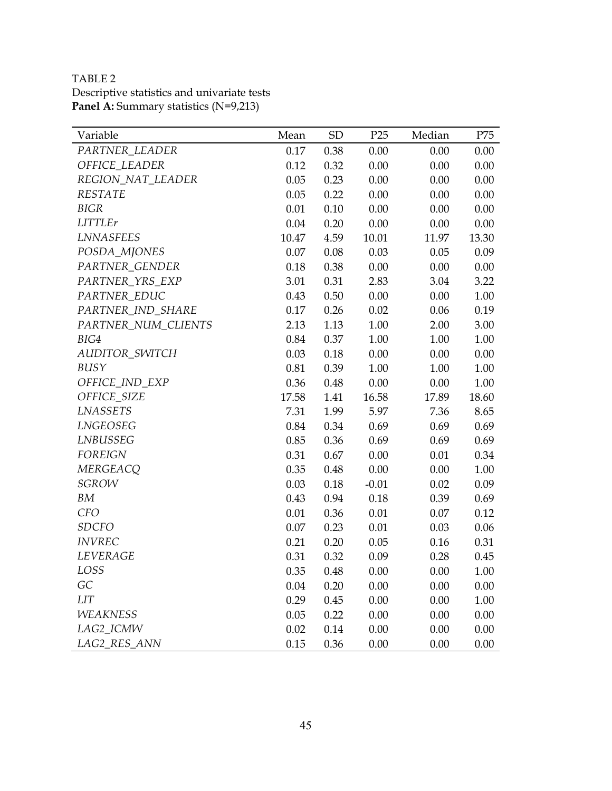TABLE 2 Descriptive statistics and univariate tests **Panel A:** Summary statistics (N=9,213)

| Variable            | Mean  | <b>SD</b> | P25     | Median | P75   |
|---------------------|-------|-----------|---------|--------|-------|
| PARTNER_LEADER      | 0.17  | 0.38      | 0.00    | 0.00   | 0.00  |
| OFFICE_LEADER       | 0.12  | 0.32      | 0.00    | 0.00   | 0.00  |
| REGION_NAT_LEADER   | 0.05  | 0.23      | 0.00    | 0.00   | 0.00  |
| <b>RESTATE</b>      | 0.05  | 0.22      | 0.00    | 0.00   | 0.00  |
| <b>BIGR</b>         | 0.01  | 0.10      | 0.00    | 0.00   | 0.00  |
| <b>LITTLEr</b>      | 0.04  | 0.20      | 0.00    | 0.00   | 0.00  |
| <b>LNNASFEES</b>    | 10.47 | 4.59      | 10.01   | 11.97  | 13.30 |
| POSDA_MJONES        | 0.07  | 0.08      | 0.03    | 0.05   | 0.09  |
| PARTNER_GENDER      | 0.18  | 0.38      | 0.00    | 0.00   | 0.00  |
| PARTNER_YRS_EXP     | 3.01  | 0.31      | 2.83    | 3.04   | 3.22  |
| PARTNER_EDUC        | 0.43  | 0.50      | 0.00    | 0.00   | 1.00  |
| PARTNER_IND_SHARE   | 0.17  | 0.26      | 0.02    | 0.06   | 0.19  |
| PARTNER_NUM_CLIENTS | 2.13  | 1.13      | 1.00    | 2.00   | 3.00  |
| BIG4                | 0.84  | 0.37      | 1.00    | 1.00   | 1.00  |
| AUDITOR_SWITCH      | 0.03  | 0.18      | 0.00    | 0.00   | 0.00  |
| BUSY                | 0.81  | 0.39      | 1.00    | 1.00   | 1.00  |
| OFFICE IND EXP      | 0.36  | 0.48      | 0.00    | 0.00   | 1.00  |
| OFFICE_SIZE         | 17.58 | 1.41      | 16.58   | 17.89  | 18.60 |
| <b>LNASSETS</b>     | 7.31  | 1.99      | 5.97    | 7.36   | 8.65  |
| LNGEOSEG            | 0.84  | 0.34      | 0.69    | 0.69   | 0.69  |
| LNBUSSEG            | 0.85  | 0.36      | 0.69    | 0.69   | 0.69  |
| <b>FOREIGN</b>      | 0.31  | 0.67      | 0.00    | 0.01   | 0.34  |
| <b>MERGEACQ</b>     | 0.35  | 0.48      | 0.00    | 0.00   | 1.00  |
| <b>SGROW</b>        | 0.03  | 0.18      | $-0.01$ | 0.02   | 0.09  |
| BM                  | 0.43  | 0.94      | 0.18    | 0.39   | 0.69  |
| <b>CFO</b>          | 0.01  | 0.36      | 0.01    | 0.07   | 0.12  |
| <b>SDCFO</b>        | 0.07  | 0.23      | 0.01    | 0.03   | 0.06  |
| <b>INVREC</b>       | 0.21  | 0.20      | 0.05    | 0.16   | 0.31  |
| LEVERAGE            | 0.31  | 0.32      | 0.09    | 0.28   | 0.45  |
| LOSS                | 0.35  | 0.48      | 0.00    | 0.00   | 1.00  |
| GC                  | 0.04  | 0.20      | 0.00    | 0.00   | 0.00  |
| <b>LIT</b>          | 0.29  | 0.45      | 0.00    | 0.00   | 1.00  |
| <b>WEAKNESS</b>     | 0.05  | 0.22      | 0.00    | 0.00   | 0.00  |
| LAG2_ICMW           | 0.02  | 0.14      | 0.00    | 0.00   | 0.00  |
| LAG2_RES_ANN        | 0.15  | 0.36      | 0.00    | 0.00   | 0.00  |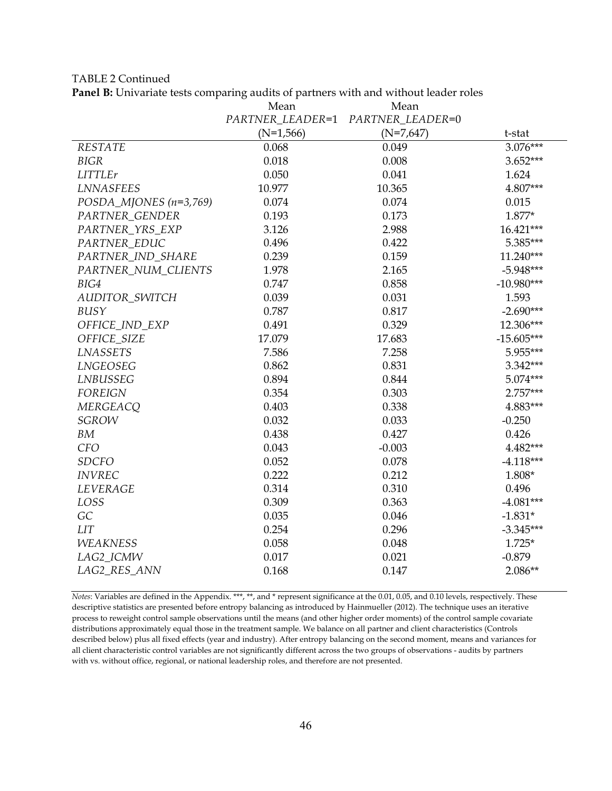TABLE 2 Continued

**Panel B:** Univariate tests comparing audits of partners with and without leader roles

|                          | Mean             | Mean             |              |
|--------------------------|------------------|------------------|--------------|
|                          | PARTNER LEADER=1 | PARTNER LEADER=0 |              |
|                          | $(N=1,566)$      | $(N=7,647)$      | t-stat       |
| <b>RESTATE</b>           | 0.068            | 0.049            | 3.076***     |
| <b>BIGR</b>              | 0.018            | 0.008            | $3.652***$   |
| <b>LITTLEr</b>           | 0.050            | 0.041            | 1.624        |
| <b>LNNASFEES</b>         | 10.977           | 10.365           | 4.807***     |
| POSDA_MJONES $(n=3,769)$ | 0.074            | 0.074            | 0.015        |
| PARTNER GENDER           | 0.193            | 0.173            | $1.877*$     |
| PARTNER_YRS_EXP          | 3.126            | 2.988            | 16.421***    |
| PARTNER_EDUC             | 0.496            | 0.422            | 5.385***     |
| PARTNER IND SHARE        | 0.239            | 0.159            | $11.240***$  |
| PARTNER_NUM_CLIENTS      | 1.978            | 2.165            | $-5.948***$  |
| BIG4                     | 0.747            | 0.858            | $-10.980***$ |
| AUDITOR_SWITCH           | 0.039            | 0.031            | 1.593        |
| BUSY                     | 0.787            | 0.817            | $-2.690***$  |
| OFFICE_IND_EXP           | 0.491            | 0.329            | 12.306***    |
| OFFICE_SIZE              | 17.079           | 17.683           | $-15.605***$ |
| <b>LNASSETS</b>          | 7.586            | 7.258            | 5.955***     |
| LNGEOSEG                 | 0.862            | 0.831            | 3.342***     |
| LNBUSSEG                 | 0.894            | 0.844            | 5.074***     |
| <b>FOREIGN</b>           | 0.354            | 0.303            | 2.757***     |
| <b>MERGEACQ</b>          | 0.403            | 0.338            | 4.883***     |
| <b>SGROW</b>             | 0.032            | 0.033            | $-0.250$     |
| BM                       | 0.438            | 0.427            | 0.426        |
| <b>CFO</b>               | 0.043            | $-0.003$         | 4.482***     |
| <b>SDCFO</b>             | 0.052            | 0.078            | $-4.118***$  |
| <b>INVREC</b>            | 0.222            | 0.212            | 1.808*       |
| LEVERAGE                 | 0.314            | 0.310            | 0.496        |
| LOSS                     | 0.309            | 0.363            | $-4.081***$  |
| GC                       | 0.035            | 0.046            | $-1.831*$    |
| <b>LIT</b>               | 0.254            | 0.296            | $-3.345***$  |
| <b>WEAKNESS</b>          | 0.058            | 0.048            | $1.725*$     |
| LAG2_ICMW                | 0.017            | 0.021            | $-0.879$     |
| LAG2_RES_ANN             | 0.168            | 0.147            | 2.086**      |

*Notes*: Variables are defined in the Appendix. \*\*\*, \*\*, and \* represent significance at the 0.01, 0.05, and 0.10 levels, respectively. These descriptive statistics are presented before entropy balancing as introduced by Hainmueller (2012). The technique uses an iterative process to reweight control sample observations until the means (and other higher order moments) of the control sample covariate distributions approximately equal those in the treatment sample. We balance on all partner and client characteristics (Controls described below) plus all fixed effects (year and industry). After entropy balancing on the second moment, means and variances for all client characteristic control variables are not significantly different across the two groups of observations - audits by partners with vs. without office, regional, or national leadership roles, and therefore are not presented.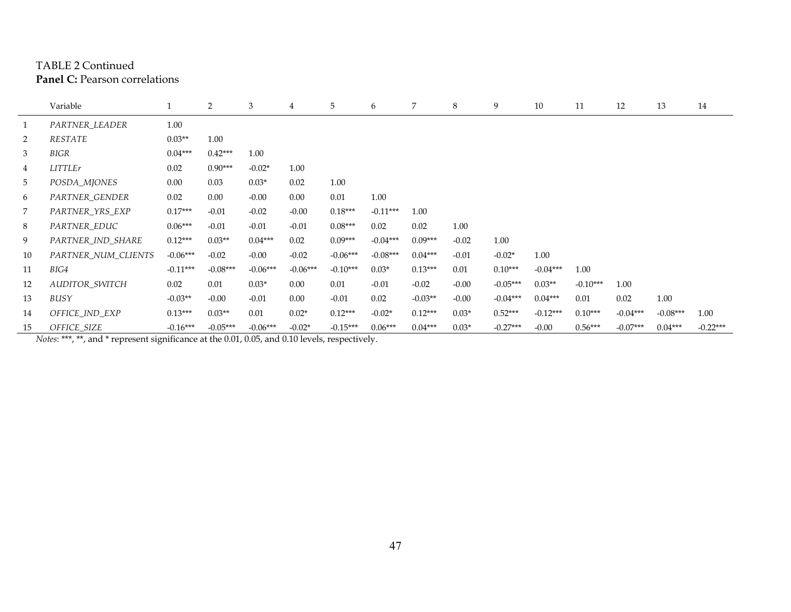## TABLE 2 Continued **Panel C:** Pearson correlations

|                | Variable            |            | 2          | 3          | 4          | 5          | 6          | 7         | 8       | 9          | 10         | 11         | 12         | 13         | 14         |
|----------------|---------------------|------------|------------|------------|------------|------------|------------|-----------|---------|------------|------------|------------|------------|------------|------------|
| $\mathbf{1}$   | PARTNER LEADER      | 1.00       |            |            |            |            |            |           |         |            |            |            |            |            |            |
| $\overline{2}$ | RESTATE             | $0.03**$   | 1.00       |            |            |            |            |           |         |            |            |            |            |            |            |
| 3              | BIGR                | $0.04***$  | $0.42***$  | 1.00       |            |            |            |           |         |            |            |            |            |            |            |
| $\overline{4}$ | <b>LITTLEr</b>      | 0.02       | $0.90***$  | $-0.02*$   | 1.00       |            |            |           |         |            |            |            |            |            |            |
| 5              | POSDA_MJONES        | 0.00       | 0.03       | $0.03*$    | 0.02       | 1.00       |            |           |         |            |            |            |            |            |            |
| 6              | PARTNER_GENDER      | 0.02       | 0.00       | $-0.00$    | 0.00       | 0.01       | 1.00       |           |         |            |            |            |            |            |            |
| 7              | PARTNER_YRS_EXP     | $0.17***$  | $-0.01$    | $-0.02$    | $-0.00$    | $0.18***$  | $-0.11***$ | 1.00      |         |            |            |            |            |            |            |
| 8              | PARTNER_EDUC        | $0.06***$  | $-0.01$    | $-0.01$    | $-0.01$    | $0.08***$  | 0.02       | 0.02      | 1.00    |            |            |            |            |            |            |
| 9              | PARTNER IND SHARE   | $0.12***$  | $0.03**$   | $0.04***$  | 0.02       | $0.09***$  | $-0.04***$ | $0.09***$ | $-0.02$ | 1.00       |            |            |            |            |            |
| 10             | PARTNER NUM CLIENTS | $-0.06***$ | $-0.02$    | $-0.00$    | $-0.02$    | $-0.06***$ | $-0.08***$ | $0.04***$ | $-0.01$ | $-0.02*$   | 1.00       |            |            |            |            |
| 11             | BIG4                | $-0.11***$ | $-0.08***$ | $-0.06***$ | $-0.06***$ | $-0.10***$ | $0.03*$    | $0.13***$ | 0.01    | $0.10***$  | $-0.04***$ | 1.00       |            |            |            |
| 12             | AUDITOR_SWITCH      | 0.02       | 0.01       | $0.03*$    | 0.00       | 0.01       | $-0.01$    | $-0.02$   | $-0.00$ | $-0.05***$ | $0.03**$   | $-0.10***$ | 1.00       |            |            |
| 13             | BUSY                | $-0.03**$  | $-0.00$    | $-0.01$    | 0.00       | $-0.01$    | 0.02       | $-0.03**$ | $-0.00$ | $-0.04***$ | $0.04***$  | 0.01       | 0.02       | 1.00       |            |
| 14             | OFFICE_IND_EXP      | $0.13***$  | $0.03**$   | 0.01       | $0.02*$    | $0.12***$  | $-0.02*$   | $0.12***$ | $0.03*$ | $0.52***$  | $-0.12***$ | $0.10***$  | $-0.04***$ | $-0.08***$ | 1.00       |
| 15             | OFFICE_SIZE         | $-0.16***$ | $-0.05***$ | $-0.06***$ | $-0.02*$   | $-0.15***$ | $0.06***$  | $0.04***$ | $0.03*$ | $-0.27***$ | $-0.00$    | $0.56***$  | $-0.07***$ | $0.04***$  | $-0.22***$ |

*Notes*: \*\*\*, \*\*, and \* represent significance at the 0.01, 0.05, and 0.10 levels, respectively.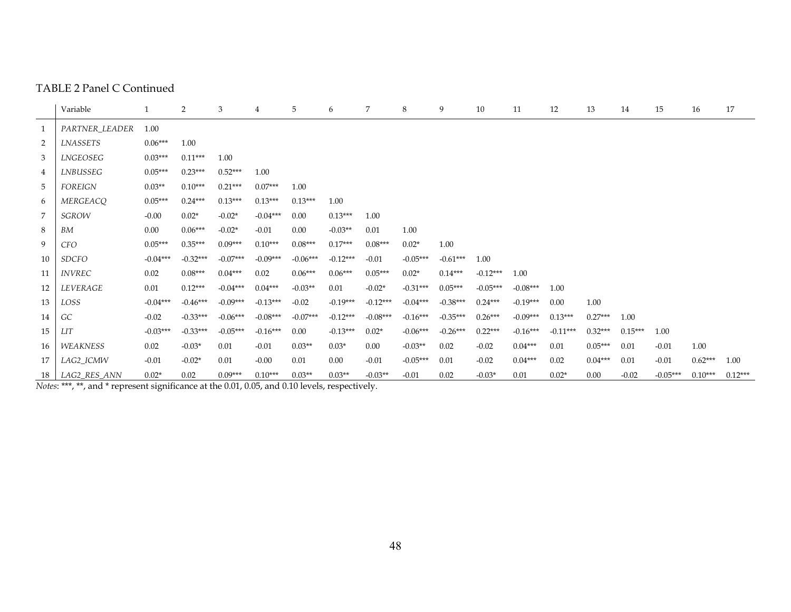#### TABLE 2 Panel C Continued

|                | Variable        |            | $\overline{2}$ | 3          | 4          | 5          | 6          | 7          | 8          | 9          | 10         | 11         | 12         | 13        | 14        | 15         | 16        | 17        |
|----------------|-----------------|------------|----------------|------------|------------|------------|------------|------------|------------|------------|------------|------------|------------|-----------|-----------|------------|-----------|-----------|
| $\mathbf{1}$   | PARTNER_LEADER  | 1.00       |                |            |            |            |            |            |            |            |            |            |            |           |           |            |           |           |
| $\overline{2}$ | <b>LNASSETS</b> | $0.06***$  | 1.00           |            |            |            |            |            |            |            |            |            |            |           |           |            |           |           |
| 3              | LNGEOSEG        | $0.03***$  | $0.11***$      | 1.00       |            |            |            |            |            |            |            |            |            |           |           |            |           |           |
| 4              | LNBUSSEG        | $0.05***$  | $0.23***$      | $0.52***$  | 1.00       |            |            |            |            |            |            |            |            |           |           |            |           |           |
| 5              | <b>FOREIGN</b>  | $0.03**$   | $0.10***$      | $0.21***$  | $0.07***$  | 1.00       |            |            |            |            |            |            |            |           |           |            |           |           |
| 6              | MERGEACQ        | $0.05***$  | $0.24***$      | $0.13***$  | $0.13***$  | $0.13***$  | 1.00       |            |            |            |            |            |            |           |           |            |           |           |
|                | <b>SGROW</b>    | $-0.00$    | $0.02*$        | $-0.02*$   | $-0.04***$ | 0.00       | $0.13***$  | 1.00       |            |            |            |            |            |           |           |            |           |           |
| 8              | BM              | 0.00       | $0.06***$      | $-0.02*$   | $-0.01$    | 0.00       | $-0.03**$  | 0.01       | 1.00       |            |            |            |            |           |           |            |           |           |
| 9              | CFO             | $0.05***$  | $0.35***$      | $0.09***$  | $0.10***$  | $0.08***$  | $0.17***$  | $0.08***$  | $0.02*$    | 1.00       |            |            |            |           |           |            |           |           |
| 10             | <b>SDCFO</b>    | $-0.04***$ | $-0.32***$     | $-0.07***$ | $-0.09***$ | $-0.06***$ | $-0.12***$ | $-0.01$    | $-0.05***$ | $-0.61***$ | 1.00       |            |            |           |           |            |           |           |
| 11             | <i>INVREC</i>   | 0.02       | $0.08***$      | $0.04***$  | 0.02       | $0.06***$  | $0.06***$  | $0.05***$  | $0.02*$    | $0.14***$  | $-0.12***$ | 1.00       |            |           |           |            |           |           |
| 12             | LEVERAGE        | 0.01       | $0.12***$      | $-0.04***$ | $0.04***$  | $-0.03**$  | 0.01       | $-0.02*$   | $-0.31***$ | $0.05***$  | $-0.05***$ | $-0.08***$ | 1.00       |           |           |            |           |           |
| 13             | LOSS            | $-0.04***$ | $-0.46***$     | $-0.09***$ | $-0.13***$ | $-0.02$    | $-0.19***$ | $-0.12***$ | $-0.04***$ | $-0.38***$ | $0.24***$  | $-0.19***$ | 0.00       | 1.00      |           |            |           |           |
| 14             | GC              | $-0.02$    | $-0.33***$     | $-0.06***$ | $-0.08***$ | $-0.07***$ | $-0.12***$ | $-0.08***$ | $-0.16***$ | $-0.35***$ | $0.26***$  | $-0.09***$ | $0.13***$  | $0.27***$ | 1.00      |            |           |           |
| 15             | <b>LIT</b>      | $-0.03***$ | $-0.33***$     | $-0.05***$ | $-0.16***$ | 0.00       | $-0.13***$ | $0.02*$    | $-0.06***$ | $-0.26***$ | $0.22***$  | $-0.16***$ | $-0.11***$ | $0.32***$ | $0.15***$ | 1.00       |           |           |
| 16             | <b>WEAKNESS</b> | 0.02       | $-0.03*$       | 0.01       | $-0.01$    | $0.03**$   | $0.03*$    | $0.00\,$   | $-0.03**$  | 0.02       | $-0.02$    | $0.04***$  | 0.01       | $0.05***$ | 0.01      | $-0.01$    | 1.00      |           |
| 17             | LAG2_ICMW       | $-0.01$    | $-0.02*$       | 0.01       | $-0.00$    | 0.01       | $0.00\,$   | $-0.01$    | $-0.05***$ | 0.01       | $-0.02$    | $0.04***$  | 0.02       | $0.04***$ | 0.01      | $-0.01$    | $0.62***$ | 1.00      |
| 18 l           | LAG2 RES ANN    | $0.02*$    | 0.02           | $0.09***$  | $0.10***$  | $0.03**$   | $0.03**$   | $-0.03**$  | $-0.01$    | 0.02       | $-0.03*$   | 0.01       | $0.02*$    | 0.00      | $-0.02$   | $-0.05***$ | $0.10***$ | $0.12***$ |

*Notes*: \*\*\*, \*\*, and \* represent significance at the 0.01, 0.05, and 0.10 levels, respectively.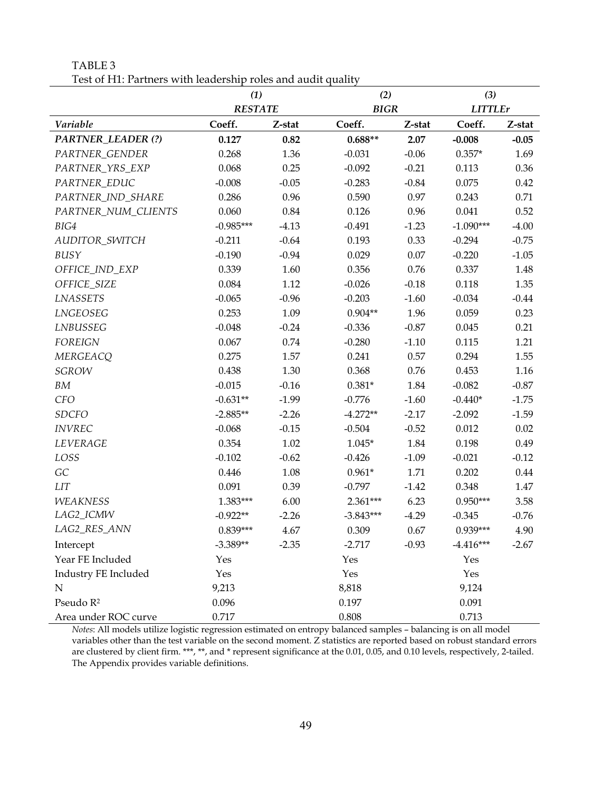TABLE 3 Test of H1: Partners with leadership roles and audit quality

|                          | (1)            |         | (2)         |         | (3)            |         |  |
|--------------------------|----------------|---------|-------------|---------|----------------|---------|--|
|                          | <b>RESTATE</b> |         | <b>BIGR</b> |         | <b>LITTLEr</b> |         |  |
| Variable                 | Coeff.         | Z-stat  | Coeff.      | Z-stat  | Coeff.         | Z-stat  |  |
| <b>PARTNER_LEADER(?)</b> | 0.127          | 0.82    | $0.688**$   | 2.07    | $-0.008$       | $-0.05$ |  |
| PARTNER_GENDER           | 0.268          | 1.36    | $-0.031$    | $-0.06$ | $0.357*$       | 1.69    |  |
| PARTNER_YRS_EXP          | 0.068          | 0.25    | $-0.092$    | $-0.21$ | 0.113          | 0.36    |  |
| PARTNER_EDUC             | $-0.008$       | $-0.05$ | $-0.283$    | $-0.84$ | 0.075          | 0.42    |  |
| PARTNER_IND_SHARE        | 0.286          | 0.96    | 0.590       | 0.97    | 0.243          | 0.71    |  |
| PARTNER_NUM_CLIENTS      | 0.060          | 0.84    | 0.126       | 0.96    | 0.041          | 0.52    |  |
| BIG4                     | $-0.985***$    | $-4.13$ | $-0.491$    | $-1.23$ | $-1.090***$    | $-4.00$ |  |
| AUDITOR_SWITCH           | $-0.211$       | $-0.64$ | 0.193       | 0.33    | $-0.294$       | $-0.75$ |  |
| BUSY                     | $-0.190$       | $-0.94$ | 0.029       | 0.07    | $-0.220$       | $-1.05$ |  |
| OFFICE_IND_EXP           | 0.339          | 1.60    | 0.356       | 0.76    | 0.337          | 1.48    |  |
| OFFICE_SIZE              | 0.084          | 1.12    | $-0.026$    | $-0.18$ | 0.118          | 1.35    |  |
| <b>LNASSETS</b>          | $-0.065$       | $-0.96$ | $-0.203$    | $-1.60$ | $-0.034$       | $-0.44$ |  |
| LNGEOSEG                 | 0.253          | 1.09    | $0.904**$   | 1.96    | 0.059          | 0.23    |  |
| LNBUSSEG                 | $-0.048$       | $-0.24$ | $-0.336$    | $-0.87$ | 0.045          | 0.21    |  |
| <b>FOREIGN</b>           | 0.067          | 0.74    | $-0.280$    | $-1.10$ | 0.115          | 1.21    |  |
| <b>MERGEACQ</b>          | 0.275          | 1.57    | 0.241       | 0.57    | 0.294          | 1.55    |  |
| <b>SGROW</b>             | 0.438          | 1.30    | 0.368       | 0.76    | 0.453          | 1.16    |  |
| BM                       | $-0.015$       | $-0.16$ | $0.381*$    | 1.84    | $-0.082$       | $-0.87$ |  |
| <b>CFO</b>               | $-0.631**$     | $-1.99$ | $-0.776$    | $-1.60$ | $-0.440*$      | $-1.75$ |  |
| <b>SDCFO</b>             | $-2.885**$     | $-2.26$ | $-4.272**$  | $-2.17$ | $-2.092$       | $-1.59$ |  |
| <b>INVREC</b>            | $-0.068$       | $-0.15$ | $-0.504$    | $-0.52$ | 0.012          | 0.02    |  |
| LEVERAGE                 | 0.354          | 1.02    | $1.045*$    | 1.84    | 0.198          | 0.49    |  |
| LOSS                     | $-0.102$       | $-0.62$ | $-0.426$    | $-1.09$ | $-0.021$       | $-0.12$ |  |
| GC                       | 0.446          | 1.08    | $0.961*$    | 1.71    | 0.202          | 0.44    |  |
| <b>LIT</b>               | 0.091          | 0.39    | $-0.797$    | $-1.42$ | 0.348          | 1.47    |  |
| <b>WEAKNESS</b>          | 1.383***       | 6.00    | 2.361***    | 6.23    | $0.950***$     | 3.58    |  |
| LAG2_ICMW                | $-0.922**$     | $-2.26$ | $-3.843***$ | $-4.29$ | $-0.345$       | $-0.76$ |  |
| LAG2_RES_ANN             | $0.839***$     | 4.67    | 0.309       | 0.67    | $0.939***$     | 4.90    |  |
| Intercept                | $-3.389**$     | $-2.35$ | $-2.717$    | $-0.93$ | $-4.416***$    | $-2.67$ |  |
| Year FE Included         | Yes            |         | Yes         |         | Yes            |         |  |
| Industry FE Included     | Yes            |         | Yes         |         | Yes            |         |  |
| ${\bf N}$                | 9,213          |         | 8,818       |         | 9,124          |         |  |
| Pseudo R <sup>2</sup>    | 0.096          |         | 0.197       |         | 0.091          |         |  |
| Area under ROC curve     | 0.717          |         | 0.808       |         | 0.713          |         |  |

*Notes*: All models utilize logistic regression estimated on entropy balanced samples – balancing is on all model variables other than the test variable on the second moment. Z statistics are reported based on robust standard errors are clustered by client firm. \*\*\*, \*\*, and \* represent significance at the 0.01, 0.05, and 0.10 levels, respectively, 2-tailed. The Appendix provides variable definitions.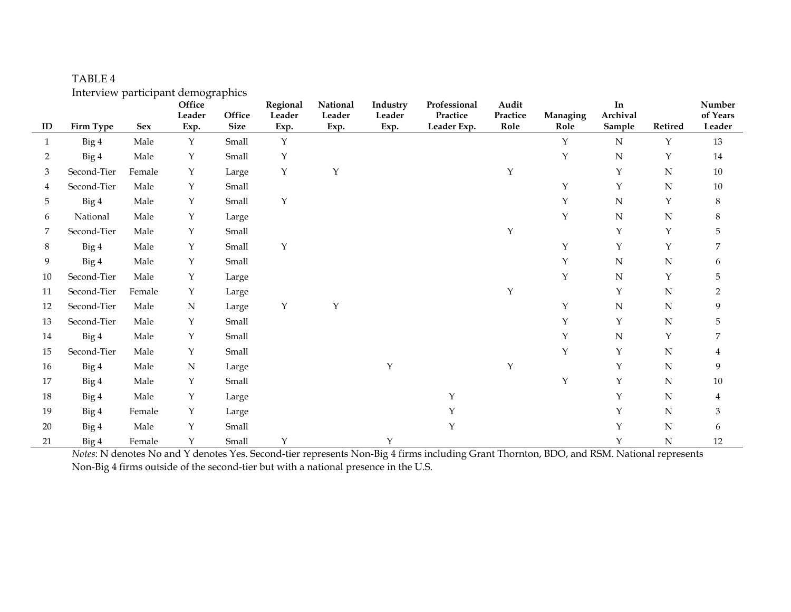|              | muci view participant acmographies |            | Office         |                       | Regional       | National       | Industry       | Professional            | Audit            |                  | In                 |         | Number             |
|--------------|------------------------------------|------------|----------------|-----------------------|----------------|----------------|----------------|-------------------------|------------------|------------------|--------------------|---------|--------------------|
| ID           | Firm Type                          | <b>Sex</b> | Leader<br>Exp. | Office<br><b>Size</b> | Leader<br>Exp. | Leader<br>Exp. | Leader<br>Exp. | Practice<br>Leader Exp. | Practice<br>Role | Managing<br>Role | Archival<br>Sample | Retired | of Years<br>Leader |
| $\mathbf{1}$ | Big 4                              | Male       | $\mathbf Y$    | Small                 | Y              |                |                |                         |                  | Υ                | $\mathbf N$        | Υ       | 13                 |
| 2            | Big 4                              | Male       | Y              | Small                 | Y              |                |                |                         |                  | Υ                | ${\bf N}$          | Y       | 14                 |
| 3            | Second-Tier                        | Female     | Υ              | Large                 | $\mathbf Y$    | Υ              |                |                         | Υ                |                  | $\mathbf{Y}$       | N       | $10\,$             |
|              | Second-Tier                        | Male       | Y              | Small                 |                |                |                |                         |                  | Υ                | Y                  | N       | $10\,$             |
| 5.           | Big 4                              | Male       | Y              | Small                 | Y              |                |                |                         |                  | Υ                | $\mathbf N$        | Y       | $\,8\,$            |
| 6            | National                           | Male       | Υ              | Large                 |                |                |                |                         |                  | Υ                | $\mathbf N$        | N       | 8                  |
|              | Second-Tier                        | Male       | Y              | Small                 |                |                |                |                         | $\mathbf Y$      |                  | $\mathbf Y$        | Y       |                    |
| 8            | Big 4                              | Male       | Y              | Small                 | $\mathbf Y$    |                |                |                         |                  | Υ                | $\mathbf{Y}$       | Y       |                    |
| 9            | Big 4                              | Male       | Υ              | Small                 |                |                |                |                         |                  | Υ                | N                  | N       | 6                  |
| $10\,$       | Second-Tier                        | Male       | Υ              | Large                 |                |                |                |                         |                  | Υ                | N                  | Υ       | 5                  |
| 11           | Second-Tier                        | Female     | Y              | Large                 |                |                |                |                         | $\mathbf Y$      |                  | Y                  | N       |                    |
| 12           | Second-Tier                        | Male       | $\mathbf N$    | Large                 | $\mathbf Y$    | Y              |                |                         |                  | Υ                | N                  | N       | 9                  |
| 13           | Second-Tier                        | Male       | Y              | Small                 |                |                |                |                         |                  | Υ                | $\mathbf Y$        | N       |                    |
| 14           | Big 4                              | Male       | Y              | Small                 |                |                |                |                         |                  | Y                | $\mathbf N$        | Y       |                    |
| 15           | Second-Tier                        | Male       | Y              | Small                 |                |                |                |                         |                  | Υ                | $\mathbf Y$        | N       | 4                  |
| 16           | Big 4                              | Male       | ${\bf N}$      | Large                 |                |                | Y              |                         | Y                |                  | $\mathbf Y$        | N       | 9                  |
| 17           | Big 4                              | Male       | Y              | Small                 |                |                |                |                         |                  | Υ                | Y                  | N       | $10\,$             |
| 18           | Big 4                              | Male       | Υ              | Large                 |                |                |                | Y                       |                  |                  | Y                  | N       | 4                  |
| 19           | Big 4                              | Female     | Y              | Large                 |                |                |                | Y                       |                  |                  | Y                  | N       | 3                  |
| $20\,$       | Big 4                              | Male       | Υ              | Small                 |                |                |                | Y                       |                  |                  | Y                  | N       | 6                  |
| 21           | Big 4                              | Female     | Y              | Small                 | Y              |                | Y              |                         |                  |                  | Y                  | N       | 12                 |

TABLE 4 Interview participant demographics

*Notes*: N denotes No and Y denotes Yes. Second-tier represents Non-Big 4 firms including Grant Thornton, BDO, and RSM. National represents Non-Big 4 firms outside of the second-tier but with a national presence in the U.S.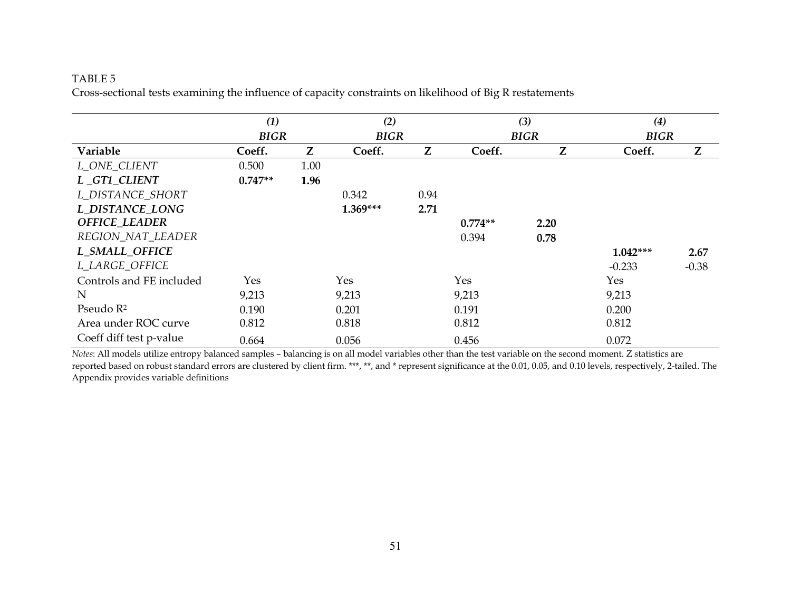#### TABLE 5

Cross-sectional tests examining the influence of capacity constraints on likelihood of Big R restatements

|                          | (1)         |      |             |      |           | (3)         | (4)         |         |
|--------------------------|-------------|------|-------------|------|-----------|-------------|-------------|---------|
|                          | <b>BIGR</b> |      | <b>BIGR</b> |      |           | <b>BIGR</b> | <b>BIGR</b> |         |
| Variable                 | Coeff.      | Z    | Coeff.      | Z    | Coeff.    | Z           | Coeff.      | Z       |
| L_ONE_CLIENT             | 0.500       | 1.00 |             |      |           |             |             |         |
| L_GT1_CLIENT             | $0.747**$   | 1.96 |             |      |           |             |             |         |
| L_DISTANCE_SHORT         |             |      | 0.342       | 0.94 |           |             |             |         |
| L DISTANCE LONG          |             |      | $1.369***$  | 2.71 |           |             |             |         |
| <b>OFFICE_LEADER</b>     |             |      |             |      | $0.774**$ | 2.20        |             |         |
| REGION_NAT_LEADER        |             |      |             |      | 0.394     | 0.78        |             |         |
| L_SMALL_OFFICE           |             |      |             |      |           |             | $1.042***$  | 2.67    |
| L_LARGE_OFFICE           |             |      |             |      |           |             | $-0.233$    | $-0.38$ |
| Controls and FE included | Yes         |      | Yes         |      | Yes       |             | Yes         |         |
| N                        | 9,213       |      | 9,213       |      | 9,213     |             | 9,213       |         |
| Pseudo $\mathbb{R}^2$    | 0.190       |      | 0.201       |      | 0.191     |             | 0.200       |         |
| Area under ROC curve     | 0.812       |      | 0.818       |      | 0.812     |             | 0.812       |         |
| Coeff diff test p-value  | 0.664       |      | 0.056       |      | 0.456     |             | 0.072       |         |

*Notes*: All models utilize entropy balanced samples – balancing is on all model variables other than the test variable on the second moment. Z statistics are reported based on robust standard errors are clustered by client firm. \*\*\*, \*\*, and \* represent significance at the 0.01, 0.05, and 0.10 levels, respectively, 2-tailed. The Appendix provides variable definitions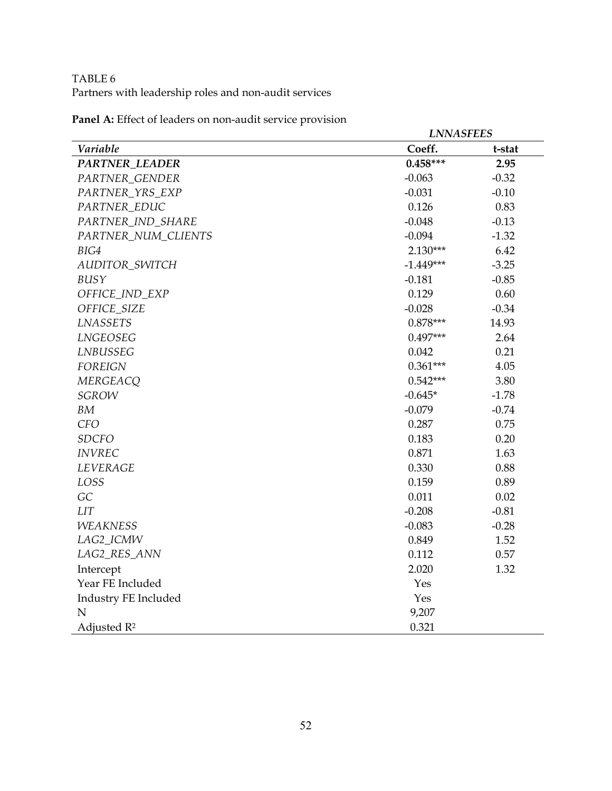# TABLE 6 Partners with leadership roles and non-audit services

|                         | <b>LNNASFEES</b> |         |
|-------------------------|------------------|---------|
| Variable                | Coeff.           | t-stat  |
| <b>PARTNER_LEADER</b>   | $0.458***$       | 2.95    |
| PARTNER_GENDER          | $-0.063$         | $-0.32$ |
| PARTNER_YRS_EXP         | $-0.031$         | $-0.10$ |
| PARTNER_EDUC            | 0.126            | 0.83    |
| PARTNER_IND_SHARE       | $-0.048$         | $-0.13$ |
| PARTNER_NUM_CLIENTS     | $-0.094$         | $-1.32$ |
| BIG4                    | $2.130***$       | 6.42    |
| AUDITOR_SWITCH          | $-1.449***$      | $-3.25$ |
| BUSY                    | $-0.181$         | $-0.85$ |
| OFFICE_IND_EXP          | 0.129            | 0.60    |
| OFFICE_SIZE             | $-0.028$         | $-0.34$ |
| <b>LNASSETS</b>         | $0.878***$       | 14.93   |
| LNGEOSEG                | $0.497***$       | 2.64    |
| LNBUSSEG                | 0.042            | 0.21    |
| <b>FOREIGN</b>          | $0.361***$       | 4.05    |
| <b>MERGEACQ</b>         | $0.542***$       | 3.80    |
| <b>SGROW</b>            | $-0.645*$        | $-1.78$ |
| BM                      | $-0.079$         | $-0.74$ |
| <b>CFO</b>              | 0.287            | 0.75    |
| <b>SDCFO</b>            | 0.183            | 0.20    |
| <b>INVREC</b>           | 0.871            | 1.63    |
| <b>LEVERAGE</b>         | 0.330            | 0.88    |
| LOSS                    | 0.159            | 0.89    |
| GC                      | 0.011            | 0.02    |
| $LIT$                   | $-0.208$         | $-0.81$ |
| <b>WEAKNESS</b>         | $-0.083$         | $-0.28$ |
| LAG2_ICMW               | 0.849            | 1.52    |
| LAG2_RES_ANN            | 0.112            | 0.57    |
| Intercept               | 2.020            | 1.32    |
| Year FE Included        | Yes              |         |
| Industry FE Included    | Yes              |         |
| $\mathbf N$             | 9,207            |         |
| Adjusted R <sup>2</sup> | 0.321            |         |

**Panel A:** Effect of leaders on non-audit service provision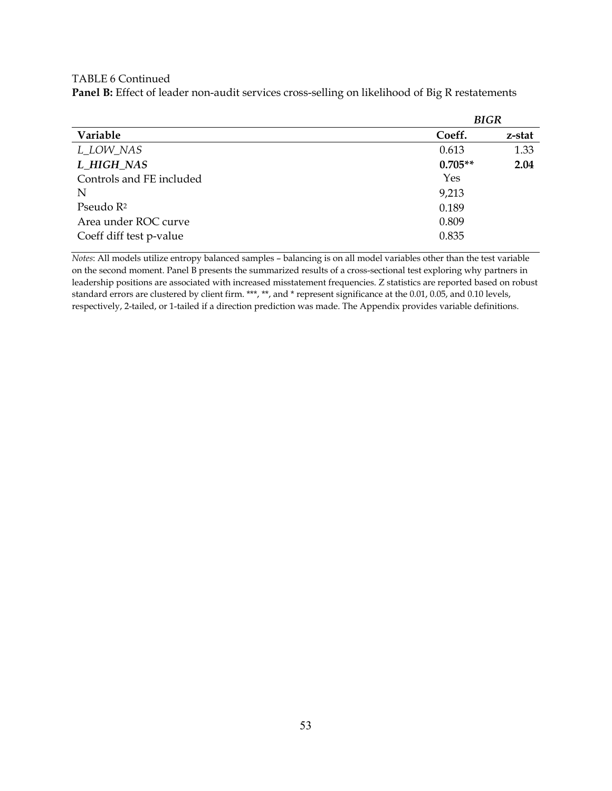TABLE 6 Continued

**Panel B:** Effect of leader non-audit services cross-selling on likelihood of Big R restatements

|                          | <b>BIGR</b> |        |  |  |  |  |
|--------------------------|-------------|--------|--|--|--|--|
| Variable                 | Coeff.      | z-stat |  |  |  |  |
| L_LOW_NAS                | 0.613       | 1.33   |  |  |  |  |
| L HIGH NAS               | $0.705**$   | 2.04   |  |  |  |  |
| Controls and FE included | Yes         |        |  |  |  |  |
| N                        | 9,213       |        |  |  |  |  |
| Pseudo R <sup>2</sup>    | 0.189       |        |  |  |  |  |
| Area under ROC curve     | 0.809       |        |  |  |  |  |
| Coeff diff test p-value  | 0.835       |        |  |  |  |  |

*Notes*: All models utilize entropy balanced samples – balancing is on all model variables other than the test variable on the second moment. Panel B presents the summarized results of a cross-sectional test exploring why partners in leadership positions are associated with increased misstatement frequencies. Z statistics are reported based on robust standard errors are clustered by client firm. \*\*\*, \*\*, and \* represent significance at the 0.01, 0.05, and 0.10 levels, respectively, 2-tailed, or 1-tailed if a direction prediction was made. The Appendix provides variable definitions.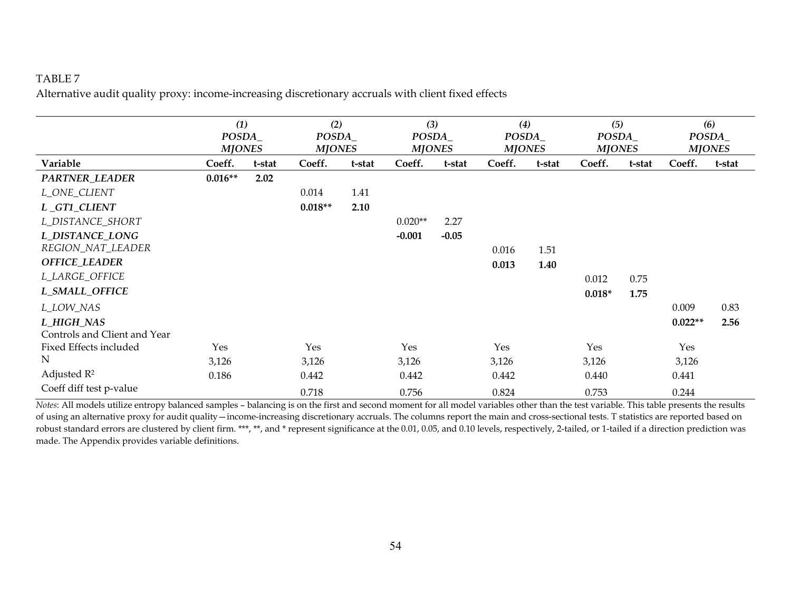## TABLE 7

Alternative audit quality proxy: income-increasing discretionary accruals with client fixed effects

|                              | (1)<br>POSDA_<br><b>MJONES</b> |        | (2)<br>POSDA_<br><b>MJONES</b> |        | (3)<br>POSDA_<br><b>MJONES</b> |         | (4)<br>POSDA_<br><b>MJONES</b> |        | (5)<br>POSDA_<br><b>MJONES</b> |        | (6)       | POSDA_<br><b>MJONES</b> |
|------------------------------|--------------------------------|--------|--------------------------------|--------|--------------------------------|---------|--------------------------------|--------|--------------------------------|--------|-----------|-------------------------|
| Variable                     | Coeff.                         | t-stat | Coeff.                         | t-stat | Coeff.                         | t-stat  | Coeff.                         | t-stat | Coeff.                         | t-stat | Coeff.    | t-stat                  |
| PARTNER_LEADER               | $0.016**$                      | 2.02   |                                |        |                                |         |                                |        |                                |        |           |                         |
| L_ONE_CLIENT                 |                                |        | 0.014                          | 1.41   |                                |         |                                |        |                                |        |           |                         |
| L_GT1_CLIENT                 |                                |        | $0.018**$                      | 2.10   |                                |         |                                |        |                                |        |           |                         |
| L_DISTANCE_SHORT             |                                |        |                                |        | $0.020**$                      | 2.27    |                                |        |                                |        |           |                         |
| L DISTANCE LONG              |                                |        |                                |        | $-0.001$                       | $-0.05$ |                                |        |                                |        |           |                         |
| REGION_NAT_LEADER            |                                |        |                                |        |                                |         | 0.016                          | 1.51   |                                |        |           |                         |
| <b>OFFICE_LEADER</b>         |                                |        |                                |        |                                |         | 0.013                          | 1.40   |                                |        |           |                         |
| L_LARGE_OFFICE               |                                |        |                                |        |                                |         |                                |        | 0.012                          | 0.75   |           |                         |
| L_SMALL_OFFICE               |                                |        |                                |        |                                |         |                                |        | $0.018*$                       | 1.75   |           |                         |
| L_LOW_NAS                    |                                |        |                                |        |                                |         |                                |        |                                |        | 0.009     | 0.83                    |
| L_HIGH_NAS                   |                                |        |                                |        |                                |         |                                |        |                                |        | $0.022**$ | 2.56                    |
| Controls and Client and Year |                                |        |                                |        |                                |         |                                |        |                                |        |           |                         |
| Fixed Effects included       | Yes                            |        | Yes                            |        | Yes                            |         | Yes                            |        | Yes                            |        | Yes       |                         |
| $\mathbf N$                  | 3,126                          |        | 3,126                          |        | 3,126                          |         | 3,126                          |        | 3,126                          |        | 3,126     |                         |
| Adjusted $R^2$               | 0.186                          |        | 0.442                          |        | 0.442                          |         | 0.442                          |        | 0.440                          |        | 0.441     |                         |
| Coeff diff test p-value      |                                |        | 0.718                          |        | 0.756                          |         | 0.824                          |        | 0.753                          |        | 0.244     |                         |

*Notes*: All models utilize entropy balanced samples – balancing is on the first and second moment for all model variables other than the test variable. This table presents the results of using an alternative proxy for audit quality—income-increasing discretionary accruals. The columns report the main and cross-sectional tests. T statistics are reported based on robust standard errors are clustered by client firm. \*\*\*, \*\*, and \* represent significance at the 0.01, 0.05, and 0.10 levels, respectively, 2-tailed, or 1-tailed if a direction prediction was made. The Appendix provides variable definitions.